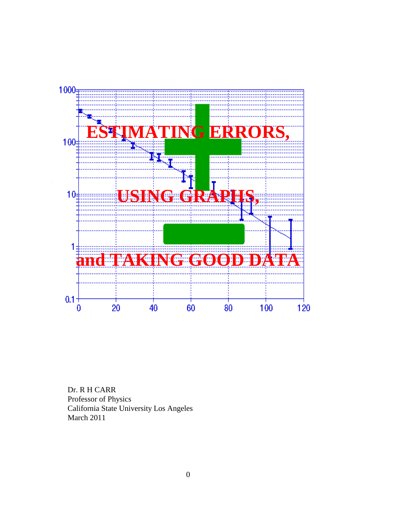

Dr. R H CARR Professor of Physics California State University Los Angeles March 2011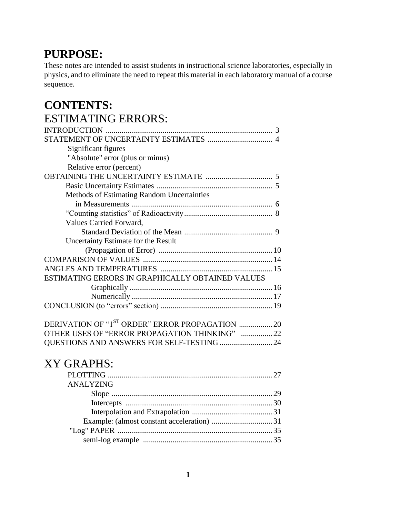# **PURPOSE:**

These notes are intended to assist students in instructional science laboratories, especially in physics, and to eliminate the need to repeat this material in each laboratory manual of a course sequence.

# **CONTENTS:** ESTIMATING ERRORS:

|                                                                                                                                                                                                                                                                                                                                                                                                 | 3 |
|-------------------------------------------------------------------------------------------------------------------------------------------------------------------------------------------------------------------------------------------------------------------------------------------------------------------------------------------------------------------------------------------------|---|
|                                                                                                                                                                                                                                                                                                                                                                                                 |   |
| Significant figures                                                                                                                                                                                                                                                                                                                                                                             |   |
| "Absolute" error (plus or minus)                                                                                                                                                                                                                                                                                                                                                                |   |
| Relative error (percent)                                                                                                                                                                                                                                                                                                                                                                        |   |
|                                                                                                                                                                                                                                                                                                                                                                                                 |   |
|                                                                                                                                                                                                                                                                                                                                                                                                 |   |
| <b>Methods of Estimating Random Uncertainties</b>                                                                                                                                                                                                                                                                                                                                               |   |
|                                                                                                                                                                                                                                                                                                                                                                                                 |   |
|                                                                                                                                                                                                                                                                                                                                                                                                 |   |
| Values Carried Forward,                                                                                                                                                                                                                                                                                                                                                                         |   |
|                                                                                                                                                                                                                                                                                                                                                                                                 |   |
| Uncertainty Estimate for the Result                                                                                                                                                                                                                                                                                                                                                             |   |
|                                                                                                                                                                                                                                                                                                                                                                                                 |   |
|                                                                                                                                                                                                                                                                                                                                                                                                 |   |
|                                                                                                                                                                                                                                                                                                                                                                                                 |   |
| ESTIMATING ERRORS IN GRAPHICALLY OBTAINED VALUES                                                                                                                                                                                                                                                                                                                                                |   |
|                                                                                                                                                                                                                                                                                                                                                                                                 |   |
|                                                                                                                                                                                                                                                                                                                                                                                                 |   |
|                                                                                                                                                                                                                                                                                                                                                                                                 |   |
| DERIVATION OF "1ST ORDER" ERROR PROPAGATION  20                                                                                                                                                                                                                                                                                                                                                 |   |
| $\overline{OPTIP}$ uses of $\overline{MPDOP}$ $\overline{PDQ}$ $\overline{OP}$ $\overline{Q}$ $\overline{P}$ $\overline{P}$ $\overline{OP}$ $\overline{UP}$ $\overline{OP}$ $\overline{OP}$ $\overline{OP}$ $\overline{OP}$ $\overline{OP}$ $\overline{OP}$ $\overline{OP}$ $\overline{OP}$ $\overline{OP}$ $\overline{OP}$ $\overline{OP}$ $\overline{OP}$ $\overline{OP}$ $\overline{OP}$ $\$ |   |

| OTHER USES OF "ERROR PROPAGATION THINKING" ……………22 |  |
|----------------------------------------------------|--|
|                                                    |  |
|                                                    |  |

# XY GRAPHS:

| <b>ANALYZING</b> |  |
|------------------|--|
|                  |  |
|                  |  |
|                  |  |
|                  |  |
|                  |  |
|                  |  |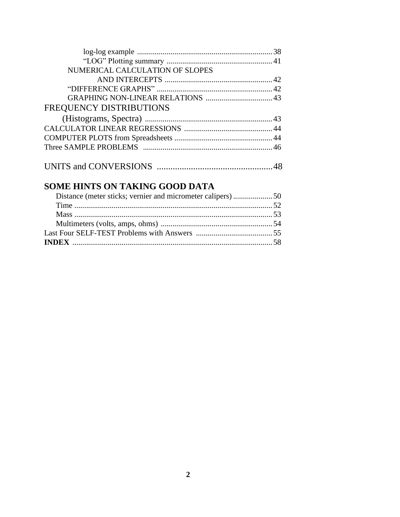| NUMERICAL CALCULATION OF SLOPES |  |
|---------------------------------|--|
|                                 |  |
|                                 |  |
|                                 |  |
| FREQUENCY DISTRIBUTIONS         |  |
|                                 |  |
|                                 |  |
|                                 |  |
|                                 |  |
|                                 |  |
|                                 |  |

# **SOME HINTS ON TAKING GOOD DATA**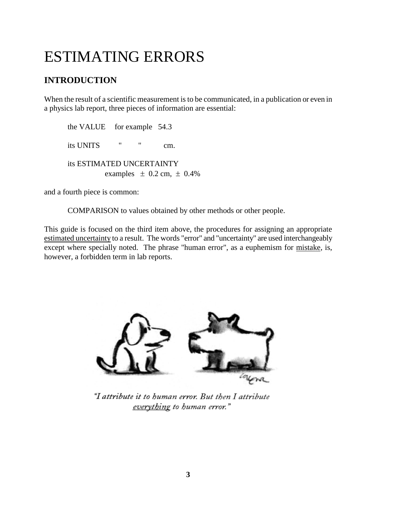# ESTIMATING ERRORS

# **INTRODUCTION**

When the result of a scientific measurement is to be communicated, in a publication or even in a physics lab report, three pieces of information are essential:

the VALUE for example 54.3 its UNITS " " cm. its ESTIMATED UNCERTAINTY examples  $\pm$  0.2 cm,  $\pm$  0.4%

and a fourth piece is common:

COMPARISON to values obtained by other methods or other people.

This guide is focused on the third item above, the procedures for assigning an appropriate estimated uncertainty to a result. The words "error" and "uncertainty" are used interchangeably except where specially noted. The phrase "human error", as a euphemism for mistake, is, however, a forbidden term in lab reports.



"I attribute it to human error. But then I attribute everything to human error."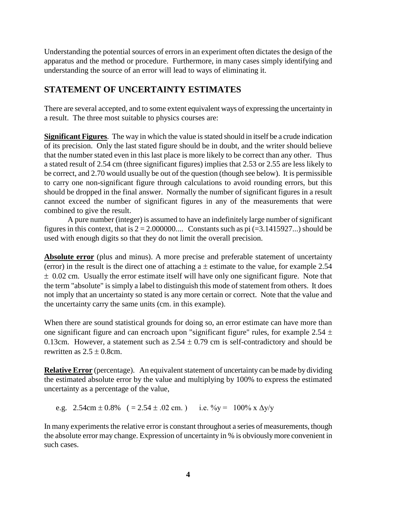Understanding the potential sources of errors in an experiment often dictates the design of the apparatus and the method or procedure. Furthermore, in many cases simply identifying and understanding the source of an error will lead to ways of eliminating it.

# **STATEMENT OF UNCERTAINTY ESTIMATES**

There are several accepted, and to some extent equivalent ways of expressing the uncertainty in a result. The three most suitable to physics courses are:

**Significant Figures**. The way in which the value is stated should in itself be a crude indication of its precision. Only the last stated figure should be in doubt, and the writer should believe that the number stated even in this last place is more likely to be correct than any other. Thus a stated result of 2.54 cm (three significant figures) implies that 2.53 or 2.55 are less likely to be correct, and 2.70 would usually be out of the question (though see below). It is permissible to carry one non-significant figure through calculations to avoid rounding errors, but this should be dropped in the final answer. Normally the number of significant figures in a result cannot exceed the number of significant figures in any of the measurements that were combined to give the result.

A pure number (integer) is assumed to have an indefinitely large number of significant figures in this context, that is  $2 = 2.000000...$  Constants such as pi  $(=3.1415927...)$  should be used with enough digits so that they do not limit the overall precision.

**Absolute error** (plus and minus). A more precise and preferable statement of uncertainty (error) in the result is the direct one of attaching a  $\pm$  estimate to the value, for example 2.54  $\pm$  0.02 cm. Usually the error estimate itself will have only one significant figure. Note that the term "absolute" is simply a label to distinguish this mode of statement from others. It does not imply that an uncertainty so stated is any more certain or correct. Note that the value and the uncertainty carry the same units (cm. in this example).

When there are sound statistical grounds for doing so, an error estimate can have more than one significant figure and can encroach upon "significant figure" rules, for example  $2.54 \pm$ 0.13cm. However, a statement such as  $2.54 \pm 0.79$  cm is self-contradictory and should be rewritten as  $2.5 \pm 0.8$ cm.

**Relative Error** (percentage). An equivalent statement of uncertainty can be made by dividing the estimated absolute error by the value and multiplying by 100% to express the estimated uncertainty as a percentage of the value,

e.g.  $2.54 \text{cm} \pm 0.8\%$  ( = 2.54  $\pm$  0.02 cm.) i.e.  $\% \text{v} = 100\% \text{ x } \Delta \text{v} / \text{y}$ 

In many experiments the relative error is constant throughout a series of measurements, though the absolute error may change. Expression of uncertainty in % is obviously more convenient in such cases.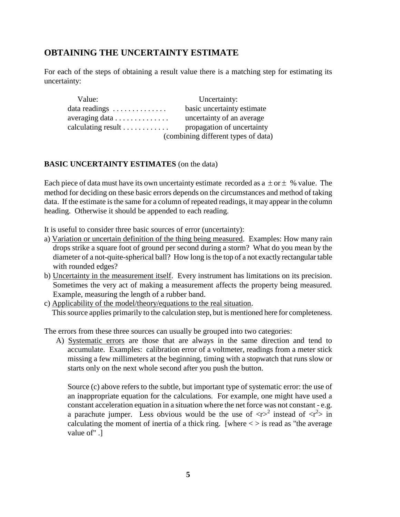# **OBTAINING THE UNCERTAINTY ESTIMATE**

For each of the steps of obtaining a result value there is a matching step for estimating its uncertainty:

| Value:                                   | Uncertainty:                        |
|------------------------------------------|-------------------------------------|
| data readings $\dots \dots \dots \dots$  | basic uncertainty estimate          |
| averaging data $\dots \dots \dots \dots$ | uncertainty of an average           |
| calculating result $\ldots$              | propagation of uncertainty          |
|                                          | (combining different types of data) |

#### **BASIC UNCERTAINTY ESTIMATES** (on the data)

Each piece of data must have its own uncertainty estimate recorded as a  $\pm$  or  $\pm$  % value. The method for deciding on these basic errors depends on the circumstances and method of taking data. If the estimate is the same for a column of repeated readings, it may appear in the column heading. Otherwise it should be appended to each reading.

It is useful to consider three basic sources of error (uncertainty):

- a) Variation or uncertain definition of the thing being measured. Examples: How many rain drops strike a square foot of ground per second during a storm? What do you mean by the diameter of a not-quite-spherical ball? How long is the top of a not exactly rectangular table with rounded edges?
- b) Uncertainty in the measurement itself. Every instrument has limitations on its precision. Sometimes the very act of making a measurement affects the property being measured. Example, measuring the length of a rubber band.
- c) Applicability of the model/theory/equations to the real situation. This source applies primarily to the calculation step, but is mentioned here for completeness.

The errors from these three sources can usually be grouped into two categories:

A) Systematic errors are those that are always in the same direction and tend to accumulate. Examples: calibration error of a voltmeter, readings from a meter stick missing a few millimeters at the beginning, timing with a stopwatch that runs slow or starts only on the next whole second after you push the button.

Source (c) above refers to the subtle, but important type of systematic error: the use of an inappropriate equation for the calculations. For example, one might have used a constant acceleration equation in a situation where the net force was not constant - e.g. a parachute jumper. Less obvious would be the use of  $\langle r \rangle^2$  instead of  $\langle r^2 \rangle$  in calculating the moment of inertia of a thick ring. [where  $\langle \rangle$  is read as "the average value of" .]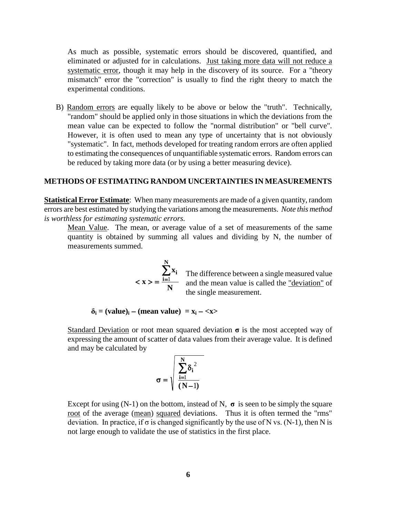As much as possible, systematic errors should be discovered, quantified, and eliminated or adjusted for in calculations. Just taking more data will not reduce a systematic error, though it may help in the discovery of its source. For a "theory mismatch" error the "correction" is usually to find the right theory to match the experimental conditions.

B) Random errors are equally likely to be above or below the "truth". Technically, "random" should be applied only in those situations in which the deviations from the mean value can be expected to follow the "normal distribution" or "bell curve". However, it is often used to mean any type of uncertainty that is not obviously "systematic". In fact, methods developed for treating random errors are often applied to estimating the consequences of unquantifiable systematic errors. Random errors can be reduced by taking more data (or by using a better measuring device).

#### **METHODS OF ESTIMATING RANDOM UNCERTAINTIES IN MEASUREMENTS**

**Statistical Error Estimate**: When many measurements are made of a given quantity, random errors are best estimated by studying the variations among the measurements. *Note this method is worthless for estimating systematic errors.*

Mean Value. The mean, or average value of a set of measurements of the same quantity is obtained by summing all values and dividing by N, the number of measurements summed.

$$
\langle x \rangle = \frac{\sum_{i=1}^{N} x_i}{N}
$$

The difference between a single measured value and the mean value is called the "deviation" of the single measurement.

 $\delta_i$  = (value)<sub>i</sub> – (mean value) = x<sub>i</sub> – <x>

Standard Deviation or root mean squared deviation **σ** is the most accepted way of expressing the amount of scatter of data values from their average value. It is defined and may be calculated by

$$
\sigma = \sqrt{\sum_{i=1}^N \delta_i^{\; 2} \over (N\!-\!1)}
$$

Except for using  $(N-1)$  on the bottom, instead of N,  $\sigma$  is seen to be simply the square root of the average (mean) squared deviations. Thus it is often termed the "rms" deviation. In practice, if  $\sigma$  is changed significantly by the use of N vs. (N-1), then N is not large enough to validate the use of statistics in the first place.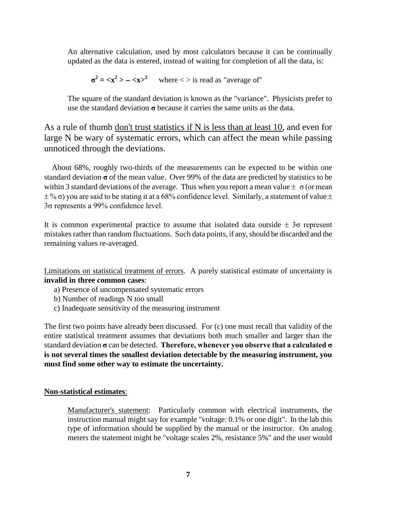An alternative calculation, used by most calculators because it can be continually updated as the data is entered, instead of waiting for completion of all the data, is:

$$
\sigma^2 = \langle x^2 \rangle - \langle x \rangle^2
$$
 where  $\langle \rangle$  is read as "average of"

The square of the standard deviation is known as the "variance". Physicists prefer to use the standard deviation **σ** because it carries the same units as the data.

As a rule of thumb don't trust statistics if N is less than at least 10, and even for large N be wary of systematic errors, which can affect the mean while passing unnoticed through the deviations.

 About 68%, roughly two-thirds of the measurements can be expected to be within one standard deviation **σ** of the mean value. Over 99% of the data are predicted by statistics to be within 3 standard deviations of the average. Thus when you report a mean value  $\pm \sigma$  (or mean  $\pm\%$  σ) you are said to be stating it at a 68% confidence level. Similarly, a statement of value  $\pm$ 3σ represents a 99% confidence level.

It is common experimental practice to assume that isolated data outside  $\pm$  3 $\sigma$  represent mistakes rather than random fluctuations. Such data points, if any, should be discarded and the remaining values re-averaged.

Limitations on statistical treatment of errors. A purely statistical estimate of uncertainty is **invalid in three common cases**:

- a) Presence of uncompensated systematic errors
- b) Number of readings N too small
- c) Inadequate sensitivity of the measuring instrument

The first two points have already been discussed. For (c) one must recall that validity of the entire statistical treatment assumes that deviations both much smaller and larger than the standard deviation **σ** can be detected. **Therefore, whenever you observe that a calculated σ is not several times the smallest deviation detectable by the measuring instrument, you must find some other way to estimate the uncertainty.**

#### **Non-statistical estimates**:

Manufacturer's statement: Particularly common with electrical instruments, the instruction manual might say for example "voltage: 0.1% or one digit". In the lab this type of information should be supplied by the manual or the instructor. On analog meters the statement might be "voltage scales 2%, resistance 5%" and the user would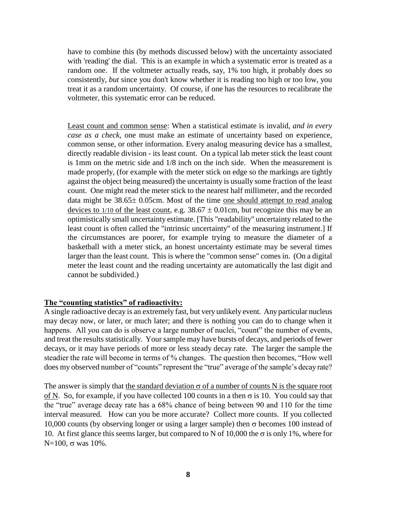have to combine this (by methods discussed below) with the uncertainty associated with 'reading' the dial. This is an example in which a systematic error is treated as a random one. If the voltmeter actually reads, say, 1% too high, it probably does so consistently, *but* since you don't know whether it is reading too high or too low, you treat it as a random uncertainty. Of course, if one has the resources to recalibrate the voltmeter, this systematic error can be reduced.

Least count and common sense: When a statistical estimate is invalid, *and in every case as a check,* one must make an estimate of uncertainty based on experience, common sense, or other information. Every analog measuring device has a smallest, directly readable division - its least count. On a typical lab meter stick the least count is 1mm on the metric side and 1/8 inch on the inch side. When the measurement is made properly, (for example with the meter stick on edge so the markings are tightly against the object being measured) the uncertainty is usually some fraction of the least count. One might read the meter stick to the nearest half millimeter, and the recorded data might be  $38.65 \pm 0.05$ cm. Most of the time one should attempt to read analog devices to  $1/10$  of the least count, e.g.  $38.67 \pm 0.01$ cm, but recognize this may be an optimistically small uncertainty estimate. [This "readability" uncertainty related to the least count is often called the "intrinsic uncertainty" of the measuring instrument.] If the circumstances are poorer, for example trying to measure the diameter of a basketball with a meter stick, an honest uncertainty estimate may be several times larger than the least count. This is where the "common sense" comes in. (On a digital meter the least count and the reading uncertainty are automatically the last digit and cannot be subdivided.)

#### **The "counting statistics" of radioactivity:**

A single radioactive decay is an extremely fast, but very unlikely event. Any particular nucleus may decay now, or later, or much later; and there is nothing you can do to change when it happens. All you can do is observe a large number of nuclei, "count" the number of events, and treat the results statistically. Yoursample may have bursts of decays, and periods of fewer decays, or it may have periods of more or less steady decay rate. The larger the sample the steadier the rate will become in terms of % changes. The question then becomes, "How well does my observed number of "counts" represent the "true" average of the sample's decay rate?

The answer is simply that the standard deviation  $\sigma$  of a number of counts N is the square root of N. So, for example, if you have collected 100 counts in a then  $\sigma$  is 10. You could say that the "true" average decay rate has a 68% chance of being between 90 and 110 for the time interval measured. How can you be more accurate? Collect more counts. If you collected 10,000 counts (by observing longer or using a larger sample) then  $\sigma$  becomes 100 instead of 10. At first glance this seems larger, but compared to N of 10,000 the  $\sigma$  is only 1%, where for  $N=100$ ,  $\sigma$  was 10%.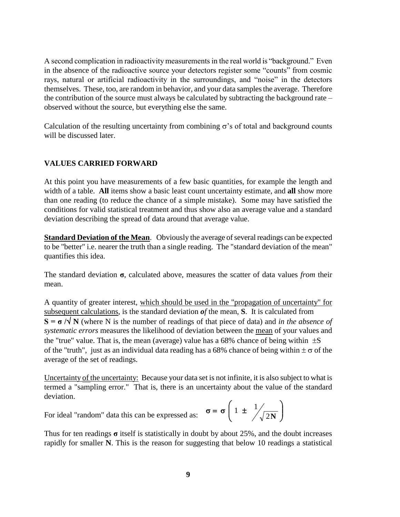A second complication in radioactivity measurements in the real world is "background." Even in the absence of the radioactive source your detectors register some "counts" from cosmic rays, natural or artificial radioactivity in the surroundings, and "noise" in the detectors themselves. These, too, are random in behavior, and your data samples the average. Therefore the contribution of the source must always be calculated by subtracting the background rate – observed without the source, but everything else the same.

Calculation of the resulting uncertainty from combining  $\sigma$ 's of total and background counts will be discussed later.

#### **VALUES CARRIED FORWARD**

At this point you have measurements of a few basic quantities, for example the length and width of a table. **All** items show a basic least count uncertainty estimate, and **all** show more than one reading (to reduce the chance of a simple mistake). Some may have satisfied the conditions for valid statistical treatment and thus show also an average value and a standard deviation describing the spread of data around that average value.

**Standard Deviation of the Mean**. Obviously the average of several readings can be expected to be "better" i.e. nearer the truth than a single reading. The "standard deviation of the mean" quantifies this idea.

The standard deviation **σ**, calculated above, measures the scatter of data values *from* their mean.

A quantity of greater interest, which should be used in the "propagation of uncertainty" for subsequent calculations, is the standard deviation *of* the mean, **S**. It is calculated from  $S = \sigma / \sqrt{N}$  (where N is the number of readings of that piece of data) and *in the absence of systematic errors* measures the likelihood of deviation between the mean of your values and the "true" value. That is, the mean (average) value has a 68% chance of being within  $\pm S$ of the "truth", just as an individual data reading has a 68% chance of being within  $\pm \sigma$  of the average of the set of readings.

Uncertainty of the uncertainty: Because your data set is not infinite, it is also subject to what is termed a "sampling error." That is, there is an uncertainty about the value of the standard deviation.

For ideal "random" data this can be expressed as:

Thus for ten readings **σ** itself is statistically in doubt by about 25%, and the doubt increases rapidly for smaller **N**. This is the reason for suggesting that below 10 readings a statistical

 $\overline{\phantom{a}}$ J  $1 \pm \frac{1}{2}$ 

ſ  $\sigma = \sigma \mid 1 \pm$ 

 $\overline{\phantom{a}}$ J

2**N**

 $\mathcal{E}$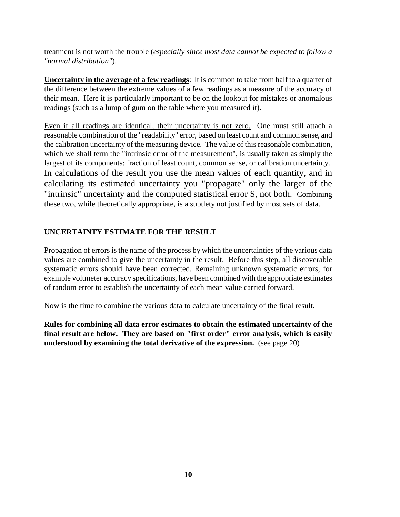treatment is not worth the trouble (*especially since most data cannot be expected to follow a "normal distribution"*).

**Uncertainty in the average of a few readings**: It is common to take from half to a quarter of the difference between the extreme values of a few readings as a measure of the accuracy of their mean. Here it is particularly important to be on the lookout for mistakes or anomalous readings (such as a lump of gum on the table where you measured it).

Even if all readings are identical, their uncertainty is not zero. One must still attach a reasonable combination of the "readability" error, based on least count and common sense, and the calibration uncertainty of the measuring device. The value of this reasonable combination, which we shall term the "intrinsic error of the measurement", is usually taken as simply the largest of its components: fraction of least count, common sense, or calibration uncertainty. In calculations of the result you use the mean values of each quantity, and in calculating its estimated uncertainty you "propagate" only the larger of the "intrinsic" uncertainty and the computed statistical error S, not both. Combining these two, while theoretically appropriate, is a subtlety not justified by most sets of data.

### **UNCERTAINTY ESTIMATE FOR THE RESULT**

Propagation of errors is the name of the process by which the uncertainties of the various data values are combined to give the uncertainty in the result. Before this step, all discoverable systematic errors should have been corrected. Remaining unknown systematic errors, for example voltmeter accuracy specifications, have been combined with the appropriate estimates of random error to establish the uncertainty of each mean value carried forward.

Now is the time to combine the various data to calculate uncertainty of the final result.

**Rules for combining all data error estimates to obtain the estimated uncertainty of the final result are below. They are based on "first order" error analysis, which is easily understood by examining the total derivative of the expression.** (see page 20)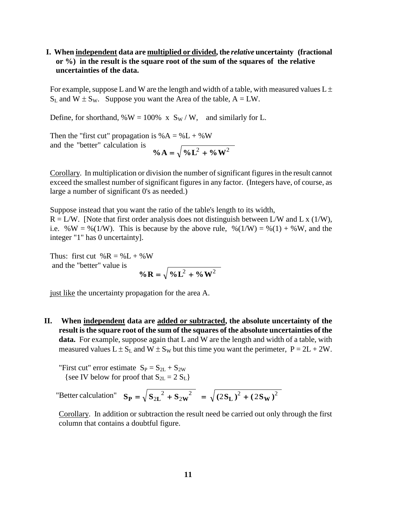#### **I. When independent data are multiplied or divided, the** *relative* **uncertainty (fractional or %) in the result is the square root of the sum of the squares of the relative uncertainties of the data.**

For example, suppose L and W are the length and width of a table, with measured values  $L \pm$  $S_L$  and  $W \pm S_W$ . Suppose you want the Area of the table,  $A = LW$ .

Define, for shorthand,  $\% W = 100\% \times S_W / W$ , and similarly for L.

Then the "first cut" propagation is  $% A = W + W$ and the "better" calculation is  $\% A = \sqrt{\frac{9}{6}L^2 + \frac{9}{6}W^2}$ 

Corollary. In multiplication or division the number of significant figures in the result cannot exceed the smallest number of significant figures in any factor. (Integers have, of course, as large a number of significant 0's as needed.)

Suppose instead that you want the ratio of the table's length to its width,  $R = L/W$ . [Note that first order analysis does not distinguish between L/W and L x (1/W), i.e. %W = %(1/W). This is because by the above rule, %(1/W) = %(1) + %W, and the integer "1" has 0 uncertainty].

Thus: first cut  $% R = \% L + \% W$ and the "better" value is

$$
\% \mathbf{R} = \sqrt{\% \mathbf{L}^2 + \% \mathbf{W}^2}
$$

just like the uncertainty propagation for the area A.

**II. When independent data are added or subtracted, the absolute uncertainty of the result is the square root of the sum of the squares of the absolute uncertainties of the data.** For example, suppose again that L and W are the length and width of a table, with measured values  $L \pm S_L$  and  $W \pm S_W$  but this time you want the perimeter,  $P = 2L + 2W$ .

"First cut" error estimate  $S_P = S_{2L} + S_{2W}$ {see IV below for proof that  $S_{2L} = 2 S_L$ }

"Better calculation"  $S_{\mathbf{p}} = \sqrt{S_{2I}^2 + S_{2I}^2} = \sqrt{(2S_{I})^2 + (2S_{I}^2)^2}$ 2  $S_{P} = \sqrt{S_{2L}^{2} + S_{2W}^{2}} = \sqrt{(2S_{L})^{2} + (2S_{W})^{2}}$ 

Corollary. In addition or subtraction the result need be carried out only through the first column that contains a doubtful figure.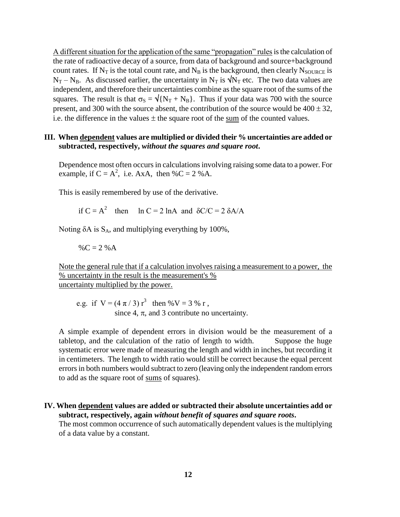A different situation for the application of the same "propagation" rules is the calculation of the rate of radioactive decay of a source, from data of background and source+background count rates. If  $N_T$  is the total count rate, and  $N_B$  is the background, then clearly  $N_{\text{SOURCE}}$  is  $N_T - N_B$ . As discussed earlier, the uncertainty in  $N_T$  is  $\sqrt{N_T}$  etc. The two data values are independent, and therefore their uncertainties combine as the square root of the sums of the squares. The result is that  $\sigma_s = \sqrt{\{N_T + N_B\}}$ . Thus if your data was 700 with the source present, and 300 with the source absent, the contribution of the source would be  $400 \pm 32$ , i.e. the difference in the values  $\pm$  the square root of the sum of the counted values.

#### **III. When dependent values are multiplied or divided their % uncertainties are added or subtracted, respectively,** *without the squares and square root***.**

Dependence most often occurs in calculations involving raising some data to a power. For example, if  $C = A^2$ , i.e. AxA, then %C = 2 %A.

This is easily remembered by use of the derivative.

if  $C = A^2$  then ln  $C = 2$  lnA and  $\delta C/C = 2 \delta A/A$ 

Noting  $\delta A$  is  $S_A$ , and multiplying everything by 100%,

$$
\%C = 2\%A
$$

Note the general rule that if a calculation involves raising a measurement to a power, the % uncertainty in the result is the measurement's % uncertainty multiplied by the power.

e.g. if  $V = (4 \pi / 3) r^3$  then %V = 3 % r, since 4,  $\pi$ , and 3 contribute no uncertainty.

A simple example of dependent errors in division would be the measurement of a tabletop, and the calculation of the ratio of length to width. Suppose the huge systematic error were made of measuring the length and width in inches, but recording it in centimeters. The length to width ratio would still be correct because the equal percent errors in both numbers would subtract to zero (leaving only the independent random errors to add as the square root of sums of squares).

#### **IV. When dependent values are added or subtracted their absolute uncertainties add or subtract, respectively, again** *without benefit of squares and square roots***.**

The most common occurrence of such automatically dependent values is the multiplying of a data value by a constant.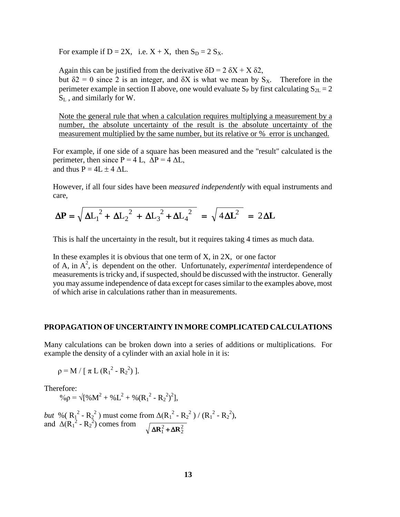For example if  $D = 2X$ , i.e.  $X + X$ , then  $S_D = 2 S_X$ .

Again this can be justified from the derivative  $\delta D = 2 \delta X + X \delta 2$ , but  $\delta$ 2 = 0 since 2 is an integer, and  $\delta$ X is what we mean by S<sub>x</sub>. Therefore in the perimeter example in section II above, one would evaluate S<sub>P</sub> by first calculating  $S_{2L} = 2$  $S_L$ , and similarly for W.

Note the general rule that when a calculation requires multiplying a measurement by a number, the absolute uncertainty of the result is the absolute uncertainty of the measurement multiplied by the same number, but its relative or % error is unchanged.

For example, if one side of a square has been measured and the "result" calculated is the perimeter, then since  $P = 4$  L,  $\Delta P = 4 \Delta L$ , and thus  $P = 4L \pm 4 \Delta L$ .

However, if all four sides have been *measured independently* with equal instruments and care,

$$
\Delta P = \sqrt{\Delta L_1^2 + \Delta L_2^2 + \Delta L_3^2 + \Delta L_4^2} = \sqrt{4 \Delta L^2} = 2 \Delta L
$$

This is half the uncertainty in the result, but it requires taking 4 times as much data.

In these examples it is obvious that one term of  $X$ , in  $2X$ , or one factor of A, in  $A^2$ , is dependent on the other. Unfortunately, *experimental* interdependence of measurements is tricky and, if suspected, should be discussed with the instructor. Generally you may assume independence of data except for cases similar to the examples above, most of which arise in calculations rather than in measurements.

#### **PROPAGATION OF UNCERTAINTY IN MORE COMPLICATED CALCULATIONS**

Many calculations can be broken down into a series of additions or multiplications. For example the density of a cylinder with an axial hole in it is:

 $\rho = M / [\pi L (R_1^2 - R_2^2)].$ 

Therefore:

 $\% \rho = \sqrt{[\%M^2 + \%L^2 + \% (R_1^2 - R_2^2)^2]},$ 

*but* % ( $R_1^2 - R_2^2$ ) must come from  $\Delta(R_1^2 - R_2^2) / (R_1^2 - R_2^2)$ , and  $\Delta(R_1^2 - R_2^2)$  comes from  $\sqrt{\Delta R_1^2 + \Delta R_2^2}$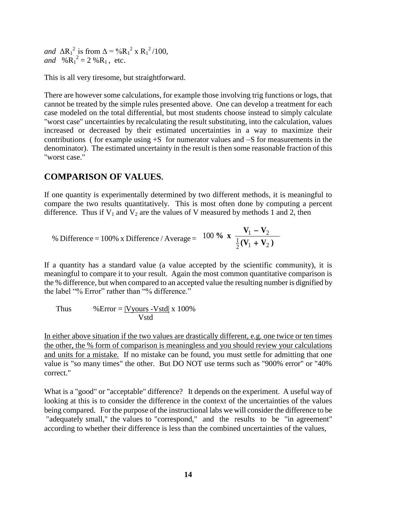*and*  $\Delta R_1^2$  is from  $\Delta = \%R_1^2 \times R_1^2 / 100$ , *and*  $\%R_1^2 = 2\%R_1$ , etc.

This is all very tiresome, but straightforward.

There are however some calculations, for example those involving trig functions or logs, that cannot be treated by the simple rules presented above. One can develop a treatment for each case modeled on the total differential, but most students choose instead to simply calculate "worst case" uncertainties by recalculating the result substituting, into the calculation, values increased or decreased by their estimated uncertainties in a way to maximize their contributions ( for example using  $+S$  for numerator values and  $-S$  for measurements in the denominator). The estimated uncertainty in the result is then some reasonable fraction of this "worst case."

### **COMPARISON OF VALUES.**

If one quantity is experimentally determined by two different methods, it is meaningful to compare the two results quantitatively. This is most often done by computing a percent difference. Thus if  $V_1$  and  $V_2$  are the values of V measured by methods 1 and 2, then

% Difference = 100% x Difference / Average = 
$$
100\%
$$
 x  $\frac{V_1 - V_2}{\frac{1}{2}(V_1 + V_2)}$ 

If a quantity has a standard value (a value accepted by the scientific community), it is meaningful to compare it to your result. Again the most common quantitative comparison is the % difference, but when compared to an accepted value the resulting number is dignified by the label "% Error" rather than "% difference."

Thus 
$$
%Error = |Vyours - Vstd| \times 100\%
$$
  
Vstd

In either above situation if the two values are drastically different, e.g. one twice or ten times the other, the % form of comparison is meaningless and you should review your calculations and units for a mistake. If no mistake can be found, you must settle for admitting that one value is "so many times" the other. But DO NOT use terms such as "900% error" or "40% correct."

What is a "good" or "acceptable" difference? It depends on the experiment. A useful way of looking at this is to consider the difference in the context of the uncertainties of the values being compared. For the purpose of the instructional labs we will consider the difference to be "adequately small," the values to "correspond," and the results to be "in agreement" according to whether their difference is less than the combined uncertainties of the values,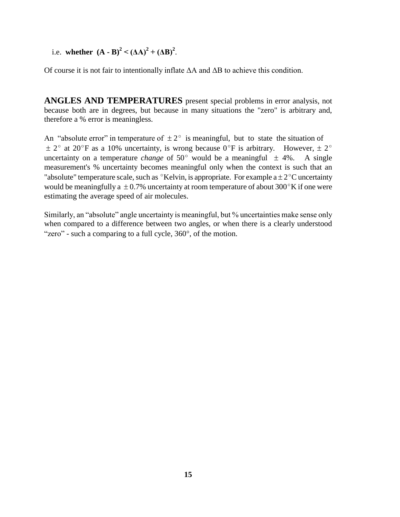i.e. **whether**  $(A - B)^2 < ( \Delta A)^2 + ( \Delta B)^2$ .

Of course it is not fair to intentionally inflate ΔA and ΔB to achieve this condition.

**ANGLES AND TEMPERATURES** present special problems in error analysis, not because both are in degrees, but because in many situations the "zero" is arbitrary and, therefore a % error is meaningless.

An "absolute error" in temperature of  $\pm 2^{\circ}$  is meaningful, but to state the situation of  $\pm$  2° at 20°F as a 10% uncertainty, is wrong because 0°F is arbitrary. However,  $\pm$  2° uncertainty on a temperature *change* of 50 $^{\circ}$  would be a meaningful  $\pm$  4%. A single measurement's % uncertainty becomes meaningful only when the context is such that an "absolute" temperature scale, such as  $\mathrm{R}^{\circ}$ Kelvin, is appropriate. For example a  $\pm 2\mathrm{R}^{\circ}$ C uncertainty would be meaningfully a  $\pm 0.7$ % uncertainty at room temperature of about 300 $\mathrm{K}$  if one were estimating the average speed of air molecules.

Similarly, an "absolute" angle uncertainty is meaningful, but % uncertainties make sense only when compared to a difference between two angles, or when there is a clearly understood "zero" - such a comparing to a full cycle,  $360^\circ$ , of the motion.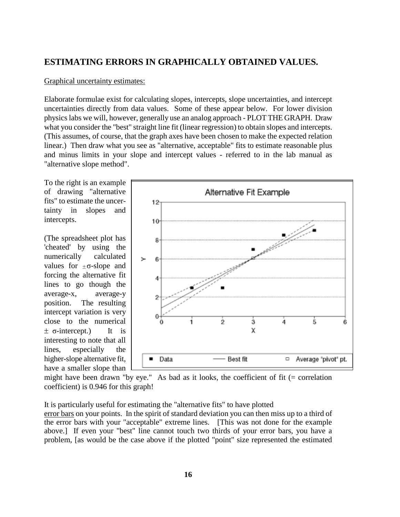# **ESTIMATING ERRORS IN GRAPHICALLY OBTAINED VALUES.**

#### Graphical uncertainty estimates:

Elaborate formulae exist for calculating slopes, intercepts, slope uncertainties, and intercept uncertainties directly from data values. Some of these appear below. For lower division physics labs we will, however, generally use an analog approach - PLOT THE GRAPH. Draw what you consider the "best" straight line fit (linear regression) to obtain slopes and intercepts. (This assumes, of course, that the graph axes have been chosen to make the expected relation linear.) Then draw what you see as "alternative, acceptable" fits to estimate reasonable plus and minus limits in your slope and intercept values - referred to in the lab manual as "alternative slope method".

To the right is an example of drawing "alternative fits" to estimate the uncertainty in slopes and intercepts.

(The spreadsheet plot has 'cheated' by using the numerically calculated values for  $\pm \sigma$ -slope and forcing the alternative fit lines to go though the average-x, average-y position. The resulting intercept variation is very close to the numerical  $\pm$  σ-intercept.) It is interesting to note that all lines, especially the higher-slope alternative fit, have a smaller slope than



might have been drawn "by eye." As bad as it looks, the coefficient of fit  $(=$  correlation coefficient) is 0.946 for this graph!

It is particularly useful for estimating the "alternative fits" to have plotted error bars on your points. In the spirit of standard deviation you can then miss up to a third of the error bars with your "acceptable" extreme lines. [This was not done for the example above.] If even your "best" line cannot touch two thirds of your error bars, you have a problem, [as would be the case above if the plotted "point" size represented the estimated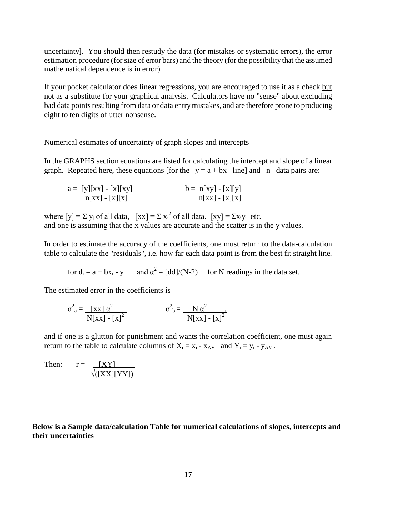uncertainty]. You should then restudy the data (for mistakes or systematic errors), the error estimation procedure (for size of error bars) and the theory (for the possibility that the assumed mathematical dependence is in error).

If your pocket calculator does linear regressions, you are encouraged to use it as a check but not as a substitute for your graphical analysis. Calculators have no "sense" about excluding bad data points resulting from data or data entry mistakes, and are therefore prone to producing eight to ten digits of utter nonsense.

#### Numerical estimates of uncertainty of graph slopes and intercepts

In the GRAPHS section equations are listed for calculating the intercept and slope of a linear graph. Repeated here, these equations [for the  $y = a + bx$  line] and n data pairs are:

| $a = [y][xx] - [x][xy]$ | $b = n[xy] - [x][y]$ |
|-------------------------|----------------------|
| $n[xx] - [x][x]$        | $n[xx] - [x][x]$     |

where  $[y] = \sum y_i$  of all data,  $[xx] = \sum x_i^2$  of all data,  $[xy] = \sum x_i y_i$  etc. and one is assuming that the x values are accurate and the scatter is in the y values.

In order to estimate the accuracy of the coefficients, one must return to the data-calculation table to calculate the "residuals", i.e. how far each data point is from the best fit straight line.

for  $d_i = a + bx_i - y_i$  and  $\alpha^2 = [dd]/(N-2)$  for N readings in the data set.

The estimated error in the coefficients is

$$
\sigma^2_{a} = \frac{\left[x \times \right] \alpha^2}{N \left[x \times \right] - \left[x\right]^2} \qquad \qquad \sigma^2_{b} = \frac{N \alpha^2}{N \left[x \times \right] - \left[x\right]^2}
$$

and if one is a glutton for punishment and wants the correlation coefficient, one must again return to the table to calculate columns of  $X_i = x_i - x_{AV}$  and  $Y_i = y_i - y_{AV}$ .

Then:  $r = \underline{[XY]}$  $\sqrt{\text{[XX][YY]}}$ 

**Below is a Sample data/calculation Table for numerical calculations of slopes, intercepts and their uncertainties**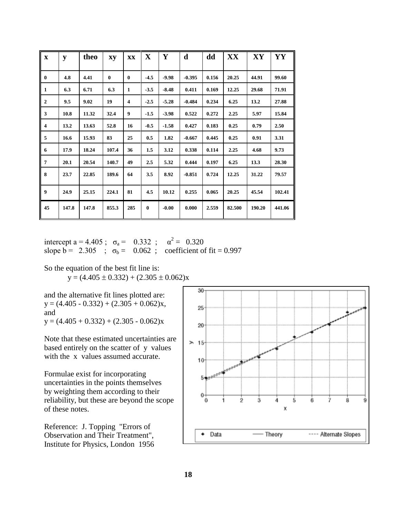| $\mathbf x$      | y     | theo  | xy       | XX                      | $\mathbf X$ | Y       | d        | dd    | XX     | XY     | YY     |
|------------------|-------|-------|----------|-------------------------|-------------|---------|----------|-------|--------|--------|--------|
| $\bf{0}$         | 4.8   | 4.41  | $\bf{0}$ | $\bf{0}$                | $-4.5$      | $-9.98$ | $-0.395$ | 0.156 | 20.25  | 44.91  | 99.60  |
| 1                | 6.3   | 6.71  | 6.3      | $\mathbf{1}$            | $-3.5$      | $-8.48$ | 0.411    | 0.169 | 12.25  | 29.68  | 71.91  |
| $\overline{2}$   | 9.5   | 9.02  | 19       | $\overline{\mathbf{4}}$ | $-2.5$      | $-5.28$ | $-0.484$ | 0.234 | 6.25   | 13.2   | 27.88  |
| 3                | 10.8  | 11.32 | 32.4     | 9                       | $-1.5$      | $-3.98$ | 0.522    | 0.272 | 2.25   | 5.97   | 15.84  |
| 4                | 13.2  | 13.63 | 52.8     | 16                      | $-0.5$      | $-1.58$ | 0.427    | 0.183 | 0.25   | 0.79   | 2.50   |
| 5                | 16.6  | 15.93 | 83       | 25                      | 0.5         | 1.82    | $-0.667$ | 0.445 | 0.25   | 0.91   | 3.31   |
| 6                | 17.9  | 18.24 | 107.4    | 36                      | 1.5         | 3.12    | 0.338    | 0.114 | 2.25   | 4.68   | 9.73   |
| $\overline{7}$   | 20.1  | 20.54 | 140.7    | 49                      | 2.5         | 5.32    | 0.444    | 0.197 | 6.25   | 13.3   | 28.30  |
| 8                | 23.7  | 22.85 | 189.6    | 64                      | 3.5         | 8.92    | $-0.851$ | 0.724 | 12.25  | 31.22  | 79.57  |
| $\boldsymbol{9}$ | 24.9  | 25.15 | 224.1    | 81                      | 4.5         | 10.12   | 0.255    | 0.065 | 20.25  | 45.54  | 102.41 |
| 45               | 147.8 | 147.8 | 855.3    | 285                     | $\bf{0}$    | $-0.00$ | 0.000    | 2.559 | 82.500 | 190.20 | 441.06 |

intercept a = 4.405 ;  $\sigma_a = 0.332$  ;  $\alpha^2 = 0.320$ slope  $b = 2.305$ ;  $\sigma_b = 0.062$ ; coefficient of fit = 0.997

So the equation of the best fit line is:

 $y = (4.405 \pm 0.332) + (2.305 \pm 0.062)x$ 

and the alternative fit lines plotted are:  $y = (4.405 - 0.332) + (2.305 + 0.062)x,$ and  $y = (4.405 + 0.332) + (2.305 - 0.062)x$ 

Note that these estimated uncertainties are based entirely on the scatter of y values with the x values assumed accurate.

Formulae exist for incorporating uncertainties in the points themselves by weighting them according to their reliability, but these are beyond the scope of these notes.

Reference: J. Topping "Errors of Observation and Their Treatment", Institute for Physics, London 1956

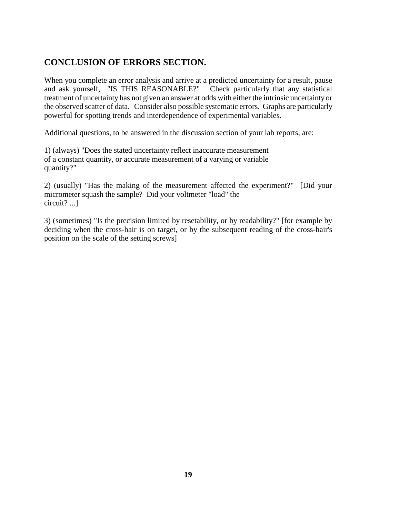# **CONCLUSION OF ERRORS SECTION.**

When you complete an error analysis and arrive at a predicted uncertainty for a result, pause and ask yourself, "IS THIS REASONABLE?" Check particularly that any statistical treatment of uncertainty has not given an answer at odds with either the intrinsic uncertainty or the observed scatter of data. Consider also possible systematic errors. Graphs are particularly powerful for spotting trends and interdependence of experimental variables.

Additional questions, to be answered in the discussion section of your lab reports, are:

1) (always) "Does the stated uncertainty reflect inaccurate measurement of a constant quantity, or accurate measurement of a varying or variable quantity?"

2) (usually) "Has the making of the measurement affected the experiment?" [Did your micrometer squash the sample? Did your voltmeter "load" the circuit? ...]

3) (sometimes) "Is the precision limited by resetability, or by readability?" [for example by deciding when the cross-hair is on target, or by the subsequent reading of the cross-hair's position on the scale of the setting screws]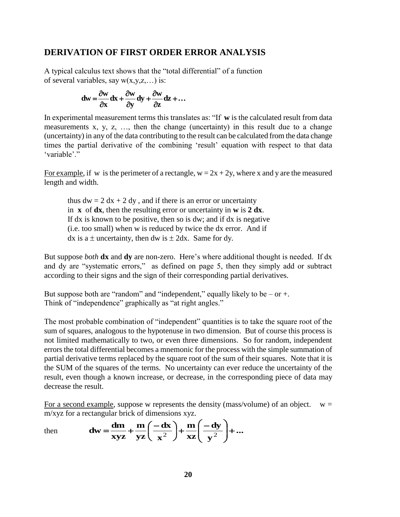#### **DERIVATION OF FIRST ORDER ERROR ANALYSIS**

A typical calculus text shows that the "total differential" of a function of several variables, say  $w(x,y,z,...)$  is:

$$
dw = \frac{\partial w}{\partial x} dx + \frac{\partial w}{\partial y} dy + \frac{\partial w}{\partial z} dz + \dots
$$

In experimental measurement terms this translates as: "If **w** is the calculated result from data measurements x, y, z, …, then the change (uncertainty) in this result due to a change (uncertainty) in any of the data contributing to the result can be calculated from the data change times the partial derivative of the combining 'result' equation with respect to that data 'variable'."

For example, if w is the perimeter of a rectangle,  $w = 2x + 2y$ , where x and y are the measured length and width.

thus  $dw = 2 dx + 2 dy$ , and if there is an error or uncertainty in **x** of  $dx$ , then the resulting error or uncertainty in **w** is  $2 dx$ . If dx is known to be positive, then so is dw; and if dx is negative (i.e. too small) when w is reduced by twice the dx error. And if dx is a  $\pm$  uncertainty, then dw is  $\pm$  2dx. Same for dy.

But suppose *both* **dx** and **dy** are non-zero. Here"s where additional thought is needed. If dx and dy are "systematic errors," as defined on page 5, then they simply add or subtract according to their signs and the sign of their corresponding partial derivatives.

But suppose both are "random" and "independent," equally likely to be  $-$  or  $+$ . Think of "independence" graphically as "at right angles."

The most probable combination of "independent" quantities is to take the square root of the sum of squares, analogous to the hypotenuse in two dimension. But of course this process is not limited mathematically to two, or even three dimensions. So for random, independent errors the total differential becomes a mnemonic for the process with the simple summation of partial derivative terms replaced by the square root of the sum of their squares. Note that it is the SUM of the squares of the terms. No uncertainty can ever reduce the uncertainty of the result, even though a known increase, or decrease, in the corresponding piece of data may decrease the result.

For a second example, suppose w represents the density (mass/volume) of an object.  $w =$ m/xyz for a rectangular brick of dimensions xyz.

then 
$$
\mathbf{dw} = \frac{\mathbf{dm}}{\mathbf{xyz}} + \frac{\mathbf{m}}{\mathbf{yz}} \left( \frac{-\mathbf{dx}}{\mathbf{x}^2} \right) + \frac{\mathbf{m}}{\mathbf{xz}} \left( \frac{-\mathbf{dy}}{\mathbf{y}^2} \right) + \dots
$$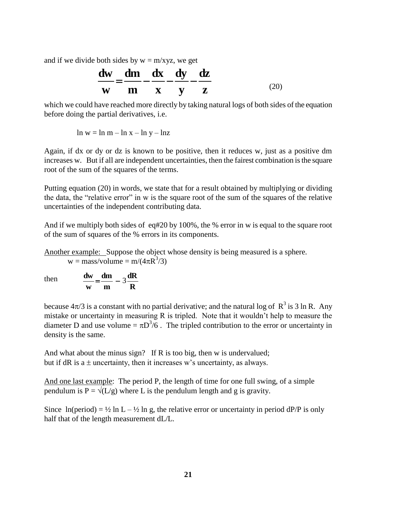and if we divide both sides by  $w = m/xyz$ , we get

$$
\frac{dw}{w} = \frac{dm}{m} - \frac{dx}{x} - \frac{dy}{y} - \frac{dz}{z}
$$
 (20)

which we could have reached more directly by taking natural logs of both sides of the equation before doing the partial derivatives, i.e.

 $\ln w = \ln m - \ln x - \ln y - \ln z$ 

Again, if dx or dy or dz is known to be positive, then it reduces w, just as a positive dm increases w. But if all are independent uncertainties, then the fairest combination is the square root of the sum of the squares of the terms.

Putting equation (20) in words, we state that for a result obtained by multiplying or dividing the data, the "relative error" in w is the square root of the sum of the squares of the relative uncertainties of the independent contributing data.

And if we multiply both sides of eq#20 by 100%, the % error in w is equal to the square root of the sum of squares of the % errors in its components.

Another example: Suppose the object whose density is being measured is a sphere.  $w = \text{mass/volume} = \text{m}/(4\pi \text{R}^3/3)$ 

then **m dm w**  $\frac{dw}{dx} = \frac{dm}{dx} - 3$ 

because  $4\pi/3$  is a constant with no partial derivative; and the natural log of  $R^3$  is 3 ln R. Any mistake or uncertainty in measuring R is tripled. Note that it wouldn"t help to measure the diameter D and use volume =  $\pi D^{3}/6$ . The tripled contribution to the error or uncertainty in density is the same.

And what about the minus sign? If R is too big, then w is undervalued; but if dR is a  $\pm$  uncertainty, then it increases w's uncertainty, as always.

**R dR**

And one last example: The period P, the length of time for one full swing, of a simple pendulum is  $P = \sqrt{(L/g)}$  where L is the pendulum length and g is gravity.

Since  $ln(period) = \frac{1}{2} ln L - \frac{1}{2} ln g$ , the relative error or uncertainty in period dP/P is only half that of the length measurement dL/L.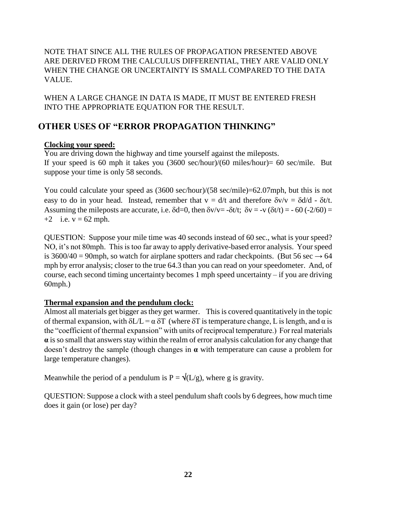NOTE THAT SINCE ALL THE RULES OF PROPAGATION PRESENTED ABOVE ARE DERIVED FROM THE CALCULUS DIFFERENTIAL, THEY ARE VALID ONLY WHEN THE CHANGE OR UNCERTAINTY IS SMALL COMPARED TO THE DATA VALUE.

WHEN A LARGE CHANGE IN DATA IS MADE, IT MUST BE ENTERED FRESH INTO THE APPROPRIATE EQUATION FOR THE RESULT.

# **OTHER USES OF "ERROR PROPAGATION THINKING"**

#### **Clocking your speed:**

You are driving down the highway and time yourself against the mileposts. If your speed is 60 mph it takes you (3600 sec/hour)/(60 miles/hour)= 60 sec/mile. But suppose your time is only 58 seconds.

You could calculate your speed as  $(3600 \text{ sec/hour})/(58 \text{ sec/mile}) = 62.07 \text{ mph}$ , but this is not easy to do in your head. Instead, remember that  $v = d/t$  and therefore  $\delta v/v = \delta d/d - \delta t/t$ . Assuming the mileposts are accurate, i.e.  $\delta d=0$ , then  $\delta v/v = -\delta t/t$ ;  $\delta v = -v (\delta t/t) = -60 (-2/60) =$ +2 i.e.  $v = 62$  mph.

QUESTION: Suppose your mile time was 40 seconds instead of 60 sec., what is your speed? NO, it"s not 80mph. This is too far away to apply derivative-based error analysis. Your speed is 3600/40 = 90mph, so watch for airplane spotters and radar checkpoints. (But 56 sec  $\rightarrow$  64 mph by error analysis; closer to the true 64.3 than you can read on your speedometer. And, of course, each second timing uncertainty becomes 1 mph speed uncertainty – if you are driving 60mph.)

#### **Thermal expansion and the pendulum clock:**

Almost all materials get bigger as they get warmer. This is covered quantitatively in the topic of thermal expansion, with  $\delta L/L = \alpha \delta T$  (where  $\delta T$  is temperature change, L is length, and  $\alpha$  is the "coefficient of thermal expansion" with units of reciprocal temperature.) For real materials **α** is so small that answers stay within the realm of error analysis calculation for any change that doesn"t destroy the sample (though changes in **α** with temperature can cause a problem for large temperature changes).

Meanwhile the period of a pendulum is  $P = \sqrt{\frac{L}{g}}$ , where g is gravity.

QUESTION: Suppose a clock with a steel pendulum shaft cools by 6 degrees, how much time does it gain (or lose) per day?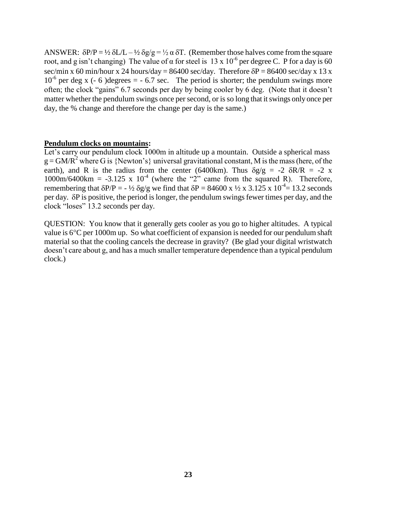ANSWER:  $\delta P/P = \frac{1}{2} \delta L/L - \frac{1}{2} \delta g/g = \frac{1}{2} \alpha \delta T$ . (Remember those halves come from the square root, and g isn't changing) The value of α for steel is  $13 \times 10^{-6}$  per degree C. P for a day is 60 sec/min x 60 min/hour x 24 hours/day = 86400 sec/day. Therefore  $\delta P = 86400$  sec/day x 13 x  $10^{-6}$  per deg x (- 6) degrees = - 6.7 sec. The period is shorter; the pendulum swings more often; the clock "gains" 6.7 seconds per day by being cooler by 6 deg. (Note that it doesn"t matter whether the pendulum swings once per second, or is so long that it swings only once per day, the % change and therefore the change per day is the same.)

#### **Pendulum clocks on mountains:**

Let's carry our pendulum clock 1000m in altitude up a mountain. Outside a spherical mass  $g = GM/R<sup>2</sup>$  where G is {Newton's} universal gravitational constant, M is the mass (here, of the earth), and R is the radius from the center (6400km). Thus  $\delta g/g = -2 \delta R/R = -2 x$  $1000 \text{m}/6400 \text{km} = -3.125 \text{ x } 10^{-4}$  (where the "2" came from the squared R). Therefore, remembering that  $\delta P/P = -\frac{1}{2} \delta g/g$  we find that  $\delta P = 84600 \times \frac{1}{2} \times 3.125 \times 10^{-4} = 13.2$  seconds per day.  $\delta P$  is positive, the period is longer, the pendulum swings fewer times per day, and the clock "loses" 13.2 seconds per day.

QUESTION: You know that it generally gets cooler as you go to higher altitudes. A typical value is  $6^{\circ}$ C per 1000m up. So what coefficient of expansion is needed for our pendulum shaft material so that the cooling cancels the decrease in gravity? (Be glad your digital wristwatch doesn"t care about g, and has a much smaller temperature dependence than a typical pendulum clock.)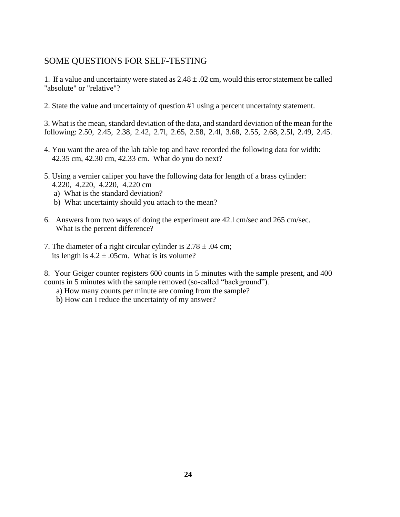# SOME QUESTIONS FOR SELF-TESTING

1. If a value and uncertainty were stated as  $2.48 \pm .02$  cm, would this error statement be called "absolute" or "relative"?

2. State the value and uncertainty of question #1 using a percent uncertainty statement.

3. What is the mean, standard deviation of the data, and standard deviation of the mean for the following: 2.50, 2.45, 2.38, 2.42, 2.7l, 2.65, 2.58, 2.4l, 3.68, 2.55, 2.68, 2.5l, 2.49, 2.45.

- 4. You want the area of the lab table top and have recorded the following data for width: 42.35 cm, 42.30 cm, 42.33 cm. What do you do next?
- 5. Using a vernier caliper you have the following data for length of a brass cylinder: 4.220, 4.220, 4.220, 4.220 cm
	- a) What is the standard deviation?
	- b) What uncertainty should you attach to the mean?
- 6. Answers from two ways of doing the experiment are 42.l cm/sec and 265 cm/sec. What is the percent difference?
- 7. The diameter of a right circular cylinder is  $2.78 \pm .04$  cm; its length is  $4.2 \pm .05$ cm. What is its volume?

8. Your Geiger counter registers 600 counts in 5 minutes with the sample present, and 400 counts in 5 minutes with the sample removed (so-called "background").

- a) How many counts per minute are coming from the sample?
- b) How can I reduce the uncertainty of my answer?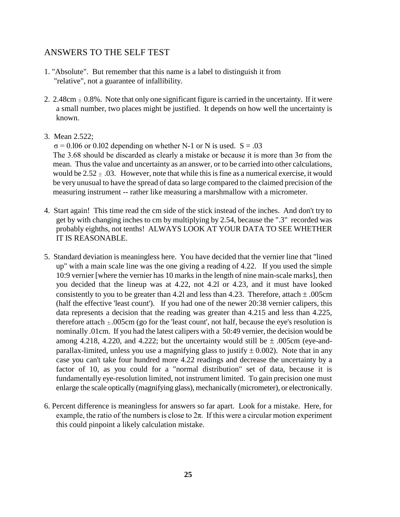## ANSWERS TO THE SELF TEST

- 1. "Absolute". But remember that this name is a label to distinguish it from "relative", not a guarantee of infallibility.
- 2. 2.48cm  $\pm$  0.8%. Note that only one significant figure is carried in the uncertainty. If it were a small number, two places might be justified. It depends on how well the uncertainty is known.
- 3. Mean 2.522;

 $\sigma$  = 0.106 or 0.102 depending on whether N-1 or N is used. S = .03

The 3.68 should be discarded as clearly a mistake or because it is more than 3σ from the mean. Thus the value and uncertainty as an answer, or to be carried into other calculations, would be  $2.52 \pm .03$ . However, note that while this is fine as a numerical exercise, it would be very unusual to have the spread of data so large compared to the claimed precision of the measuring instrument -- rather like measuring a marshmallow with a micrometer.

- 4. Start again! This time read the cm side of the stick instead of the inches. And don't try to get by with changing inches to cm by multiplying by 2.54, because the ".3" recorded was probably eighths, not tenths! ALWAYS LOOK AT YOUR DATA TO SEE WHETHER IT IS REASONABLE.
- 5. Standard deviation is meaningless here. You have decided that the vernier line that "lined up" with a main scale line was the one giving a reading of 4.22. If you used the simple 10:9 vernier [where the vernier has 10 marks in the length of nine main-scale marks], then you decided that the lineup was at 4.22, not 4.2l or 4.23, and it must have looked consistently to you to be greater than 4.2l and less than 4.23. Therefore, attach  $\pm$  .005cm (half the effective 'least count'). If you had one of the newer 20:38 vernier calipers, this data represents a decision that the reading was greater than 4.215 and less than 4.225, therefore attach  $\pm .005$ cm (go for the 'least count', not half, because the eye's resolution is nominally .01cm. If you had the latest calipers with a 50:49 vernier, the decision would be among 4.218, 4.220, and 4.222; but the uncertainty would still be  $\pm$  .005cm (eye-andparallax-limited, unless you use a magnifying glass to justify  $\pm$  0.002). Note that in any case you can't take four hundred more 4.22 readings and decrease the uncertainty by a factor of 10, as you could for a "normal distribution" set of data, because it is fundamentally eye-resolution limited, not instrument limited. To gain precision one must enlarge the scale optically (magnifying glass), mechanically (micrometer), or electronically.
- 6. Percent difference is meaningless for answers so far apart. Look for a mistake. Here, for example, the ratio of the numbers is close to  $2\pi$ . If this were a circular motion experiment this could pinpoint a likely calculation mistake.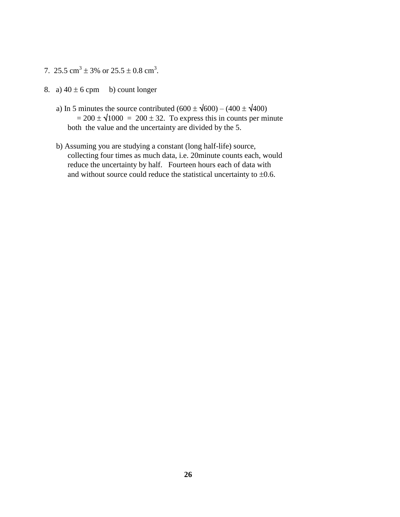- 7. 25.5 cm<sup>3</sup>  $\pm$  3% or 25.5  $\pm$  0.8 cm<sup>3</sup>.
- 8. a)  $40 \pm 6$  cpm b) count longer
	- a) In 5 minutes the source contributed  $(600 \pm \sqrt{600}) (400 \pm \sqrt{400})$  $= 200 \pm \sqrt{1000} = 200 \pm 32$ . To express this in counts per minute both the value and the uncertainty are divided by the 5.
	- b) Assuming you are studying a constant (long half-life) source, collecting four times as much data, i.e. 20minute counts each, would reduce the uncertainty by half. Fourteen hours each of data with and without source could reduce the statistical uncertainty to  $\pm 0.6$ .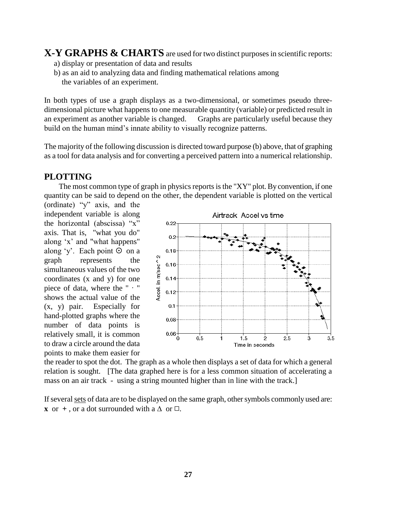# **X-Y GRAPHS & CHARTS** are used for two distinct purposes in scientific reports:

- a) display or presentation of data and results
- b) as an aid to analyzing data and finding mathematical relations among the variables of an experiment.

In both types of use a graph displays as a two-dimensional, or sometimes pseudo threedimensional picture what happens to one measurable quantity (variable) or predicted result in an experiment as another variable is changed. Graphs are particularly useful because they build on the human mind"s innate ability to visually recognize patterns.

The majority of the following discussion is directed toward purpose (b) above, that of graphing as a tool for data analysis and for converting a perceived pattern into a numerical relationship.

#### **PLOTTING**

The most common type of graph in physics reports is the "XY" plot. By convention, if one quantity can be said to depend on the other, the dependent variable is plotted on the vertical

(ordinate) "y" axis, and the independent variable is along the horizontal (abscissa) "x" axis. That is, "what you do" along "x" and "what happens" along 'y'. Each point  $\odot$  on a graph represents the simultaneous values of the two coordinates (x and y) for one piece of data, where the  $" "$ shows the actual value of the (x, y) pair. Especially for hand-plotted graphs where the number of data points is relatively small, it is common to draw a circle around the data points to make them easier for



the reader to spot the dot. The graph as a whole then displays a set of data for which a general relation is sought. [The data graphed here is for a less common situation of accelerating a mass on an air track - using a string mounted higher than in line with the track.]

If several sets of data are to be displayed on the same graph, other symbols commonly used are: **x** or  $+$ , or a dot surrounded with a  $\triangle$  or  $\Box$ .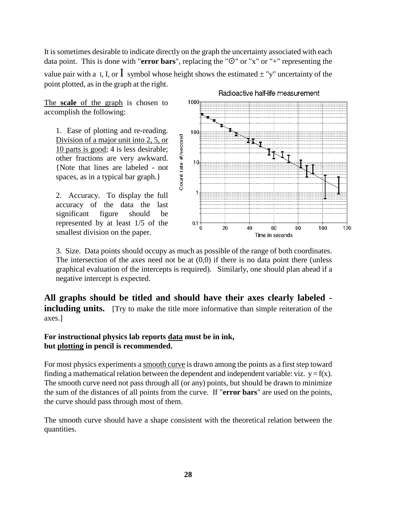It is sometimes desirable to indicate directly on the graph the uncertainty associated with each data point. This is done with "**error bars**", replacing the " $\odot$ " or "x" or "+" representing the value pair with a I, I, or  $\bf{l}$  symbol whose height shows the estimated  $\pm$  "y" uncertainty of the point plotted, as in the graph at the right.

The **scale** of the graph is chosen to accomplish the following:

1. Ease of plotting and re-reading. Division of a major unit into 2, 5, or 10 parts is good; 4 is less desirable; other fractions are very awkward. {Note that lines are labeled - not spaces, as in a typical bar graph.}

2. Accuracy. To display the full accuracy of the data the last significant figure should be represented by at least 1/5 of the smallest division on the paper.



Radioactive half-life measurement

3. Size. Data points should occupy as much as possible of the range of both coordinates. The intersection of the axes need not be at  $(0,0)$  if there is no data point there (unless graphical evaluation of the intercepts is required). Similarly, one should plan ahead if a negative intercept is expected.

**All graphs should be titled and should have their axes clearly labeled including units.** [Try to make the title more informative than simple reiteration of the axes.]

#### **For instructional physics lab reports data must be in ink, but plotting in pencil is recommended.**

For most physics experiments a smooth curve is drawn among the points as a first step toward finding a mathematical relation between the dependent and independent variable: viz.  $y = f(x)$ . The smooth curve need not pass through all (or any) points, but should be drawn to minimize the sum of the distances of all points from the curve. If "**error bars**" are used on the points, the curve should pass through most of them.

The smooth curve should have a shape consistent with the theoretical relation between the quantities.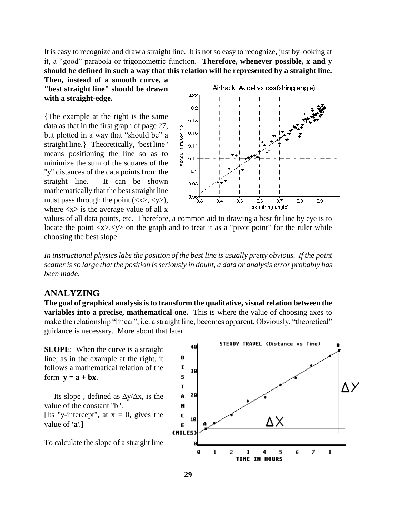It is easy to recognize and draw a straight line. It is not so easy to recognize, just by looking at it, a "good" parabola or trigonometric function. **Therefore, whenever possible, x and y should be defined in such a way that this relation will be represented by a straight line.** 

**Then, instead of a smooth curve, a "best straight line" should be drawn with a straight-edge.**

{The example at the right is the same data as that in the first graph of page 27, but plotted in a way that "should be" a straight line.} Theoretically, "best line" means positioning the line so as to minimize the sum of the squares of the "y" distances of the data points from the straight line. It can be shown mathematically that the best straight line must pass through the point  $(\langle x \rangle, \langle y \rangle)$ , where  $\langle x \rangle$  is the average value of all x



values of all data points, etc. Therefore, a common aid to drawing a best fit line by eye is to locate the point  $\langle x \rangle, \langle y \rangle$  on the graph and to treat it as a "pivot point" for the ruler while choosing the best slope.

*In instructional physics labs the position of the best line is usually pretty obvious. If the point scatter is so large that the position is seriously in doubt, a data or analysis error probably has been made.*

#### **ANALYZING**

**The goal of graphical analysis is to transform the qualitative, visual relation between the variables into a precise, mathematical one.** This is where the value of choosing axes to make the relationship "linear", i.e. a straight line, becomes apparent. Obviously, "theoretical" guidance is necessary. More about that later.

**SLOPE**: When the curve is a straight line, as in the example at the right, it follows a mathematical relation of the form  $\mathbf{v} = \mathbf{a} + \mathbf{b}\mathbf{x}$ .

Its slope, defined as  $\Delta y/\Delta x$ , is the value of the constant "b". [Its "y-intercept", at  $x = 0$ , gives the value of **'a**'.]

To calculate the slope of a straight line

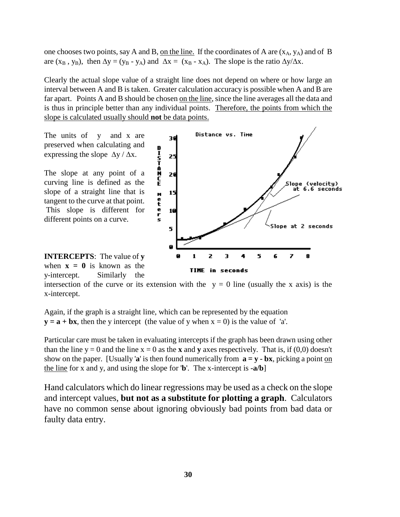one chooses two points, say A and B, on the line. If the coordinates of A are  $(x_A, y_A)$  and of B are  $(x_B, y_B)$ , then  $\Delta y = (y_B - y_A)$  and  $\Delta x = (x_B - x_A)$ . The slope is the ratio  $\Delta y/\Delta x$ .

Clearly the actual slope value of a straight line does not depend on where or how large an interval between A and B is taken. Greater calculation accuracy is possible when A and B are far apart. Points A and B should be chosen on the line, since the line averages all the data and is thus in principle better than any individual points. Therefore, the points from which the slope is calculated usually should **not** be data points.

The units of y and x are preserved when calculating and expressing the slope  $\Delta y / \Delta x$ .

The slope at any point of a curving line is defined as the slope of a straight line that is tangent to the curve at that point. This slope is different for different points on a curve.



**INTERCEPTS**: The value of **y** when  $x = 0$  is known as the y-intercept. Similarly the

intersection of the curve or its extension with the  $y = 0$  line (usually the x axis) is the x-intercept.

Again, if the graph is a straight line, which can be represented by the equation  $y = a + bx$ , then the y intercept (the value of y when  $x = 0$ ) is the value of 'a'.

Particular care must be taken in evaluating intercepts if the graph has been drawn using other than the line  $y = 0$  and the line  $x = 0$  as the **x** and **y** axes respectively. That is, if (0,0) doesn't show on the paper. [Usually 'a' is then found numerically from  $\mathbf{a} = \mathbf{y} - \mathbf{b}\mathbf{x}$ , picking a point on the line for x and y, and using the slope for '**b**'. The x-intercept is **-a/b**]

Hand calculators which do linear regressions may be used as a check on the slope and intercept values, **but not as a substitute for plotting a graph**. Calculators have no common sense about ignoring obviously bad points from bad data or faulty data entry.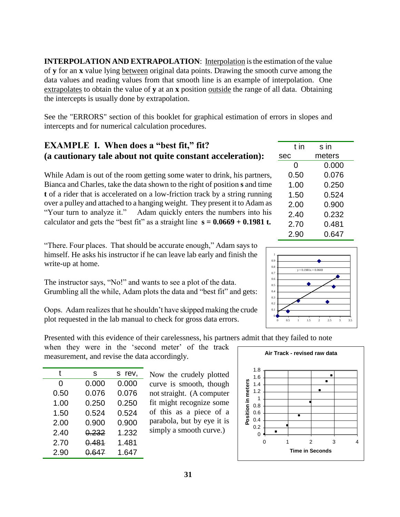**INTERPOLATION AND EXTRAPOLATION:** Interpolation is the estimation of the value of **y** for an **x** value lying between original data points. Drawing the smooth curve among the data values and reading values from that smooth line is an example of interpolation. One extrapolates to obtain the value of **y** at an **x** position outside the range of all data. Obtaining the intercepts is usually done by extrapolation.

See the "ERRORS" section of this booklet for graphical estimation of errors in slopes and intercepts and for numerical calculation procedures.

# **EXAMPLE I. When does a "best fit," fit? (a cautionary tale about not quite constant acceleration):**

While Adam is out of the room getting some water to drink, his partners, Bianca and Charles, take the data shown to the right of position **s** and time **t** of a rider that is accelerated on a low-friction track by a string running over a pulley and attached to a hanging weight. They present it to Adam as "Your turn to analyze it." Adam quickly enters the numbers into his calculator and gets the "best fit" as a straight line  $s = 0.0669 + 0.1981$  t.

"There. Four places. That should be accurate enough," Adam says to himself. He asks his instructor if he can leave lab early and finish the write-up at home.

The instructor says, "No!" and wants to see a plot of the data. Grumbling all the while, Adam plots the data and "best fit" and gets:

Oops. Adam realizes that he shouldn"t have skipped making the crude plot requested in the lab manual to check for gross data errors.

Presented with this evidence of their carelessness, his partners admit that they failed to note

when they were in the 'second meter' of the track measurement, and revise the data accordingly.

| S     | s rev, |
|-------|--------|
| 0.000 | 0.000  |
| 0.076 | 0.076  |
| 0.250 | 0.250  |
| 0.524 | 0.524  |
| 0.900 | 0.900  |
| 0.232 | 1.232  |
| 0.481 | 1.481  |
| 0.647 | 1.647  |
|       |        |

Now the crudely plotted curve is smooth, though not straight. (A computer fit might recognize some of this as a piece of a parabola, but by eye it is simply a smooth curve.)





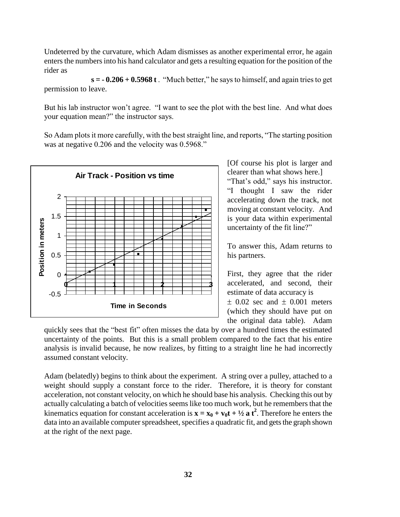Undeterred by the curvature, which Adam dismisses as another experimental error, he again enters the numbers into his hand calculator and gets a resulting equation for the position of the rider as

**s = - 0.206 + 0.5968 t** . "Much better," he says to himself, and again tries to get permission to leave.

But his lab instructor won"t agree. "I want to see the plot with the best line. And what does your equation mean?" the instructor says.

So Adam plots it more carefully, with the best straight line, and reports, "The starting position was at negative 0.206 and the velocity was 0.5968."



[Of course his plot is larger and clearer than what shows here.]

"That's odd," says his instructor. "I thought I saw the rider accelerating down the track, not moving at constant velocity. And is your data within experimental uncertainty of the fit line?"

To answer this, Adam returns to his partners.

First, they agree that the rider accelerated, and second, their estimate of data accuracy is  $\pm$  0.02 sec and  $\pm$  0.001 meters (which they should have put on the original data table). Adam

quickly sees that the "best fit" often misses the data by over a hundred times the estimated uncertainty of the points. But this is a small problem compared to the fact that his entire analysis is invalid because, he now realizes, by fitting to a straight line he had incorrectly assumed constant velocity.

Adam (belatedly) begins to think about the experiment. A string over a pulley, attached to a weight should supply a constant force to the rider. Therefore, it is theory for constant acceleration, not constant velocity, on which he should base his analysis. Checking this out by actually calculating a batch of velocities seems like too much work, but he remembers that the kinematics equation for constant acceleration is  $\mathbf{x} = \mathbf{x}_0 + \mathbf{v}_0 \mathbf{t} + \frac{1}{2} \mathbf{a} \mathbf{t}^2$ . Therefore he enters the data into an available computer spreadsheet, specifies a quadratic fit, and gets the graph shown at the right of the next page.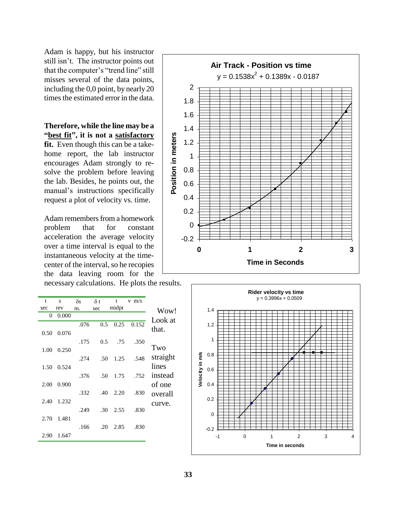Adam is happy, but his instructor still isn"t. The instructor points out that the computer's "trend line" still misses several of the data points, including the 0,0 point, by nearly 20 times the estimated error in the data.

**Therefore, while the line may be a "best fit", it is not a satisfactory**

**fit.** Even though this can be a takehome report, the lab instructor encourages Adam strongly to resolve the problem before leaving the lab. Besides, he points out, the manual's instructions specifically request a plot of velocity vs. time.

Adam remembers from a homework problem that for constant acceleration the average velocity over a time interval is equal to the instantaneous velocity at the timecenter of the interval, so he recopies the data leaving room for the

necessary calculations. He plots the results.

| t    | S     | $\delta s$ | $\delta t$ | t     | $v$ m/s |          |
|------|-------|------------|------------|-------|---------|----------|
| sec  | rev   | m.         | sec        | midpt |         | Wow!     |
| 0    | 0.000 |            |            |       |         | Look at  |
|      |       | .076       | 0.5        | 0.25  | 0.152   |          |
| 0.50 | 0.076 |            |            |       |         | that.    |
|      |       | .175       | 0.5        | .75   | .350    |          |
| 1.00 | 0.250 |            |            |       |         | Two      |
|      |       | .274       | .50        | 1.25  | .548    | straight |
| 1.50 | 0.524 |            |            |       |         | lines    |
|      |       |            |            |       |         |          |
|      |       | .376       | .50        | 1.75  | .752    | instead  |
| 2.00 | 0.900 |            |            |       |         | of one   |
|      |       | .332       | .40        | 2.20  | .830    | overall  |
| 2.40 | 1.232 |            |            |       |         | curve.   |
|      |       | .249       | .30        | 2.55  | .830    |          |
| 2.70 | 1.481 |            |            |       |         |          |
|      |       | .166       | .20        | 2.85  | .830    |          |
| 2.90 | 1.647 |            |            |       |         |          |



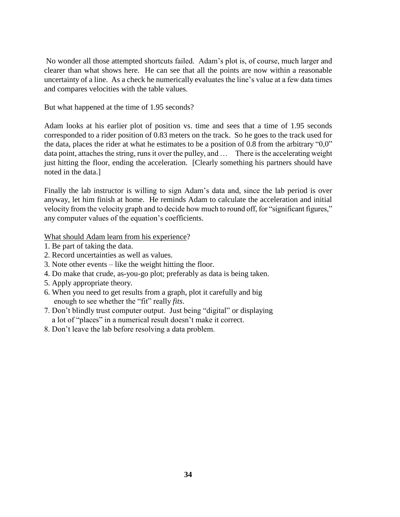No wonder all those attempted shortcuts failed. Adam"s plot is, of course, much larger and clearer than what shows here. He can see that all the points are now within a reasonable uncertainty of a line. As a check he numerically evaluates the line"s value at a few data times and compares velocities with the table values.

But what happened at the time of 1.95 seconds?

Adam looks at his earlier plot of position vs. time and sees that a time of 1.95 seconds corresponded to a rider position of 0.83 meters on the track. So he goes to the track used for the data, places the rider at what he estimates to be a position of 0.8 from the arbitrary "0,0" data point, attaches the string, runs it over the pulley, and … There is the accelerating weight just hitting the floor, ending the acceleration. [Clearly something his partners should have noted in the data.]

Finally the lab instructor is willing to sign Adam"s data and, since the lab period is over anyway, let him finish at home. He reminds Adam to calculate the acceleration and initial velocity from the velocity graph and to decide how much to round off, for "significant figures," any computer values of the equation"s coefficients.

What should Adam learn from his experience?

- 1. Be part of taking the data.
- 2. Record uncertainties as well as values.
- 3. Note other events like the weight hitting the floor.
- 4. Do make that crude, as-you-go plot; preferably as data is being taken.
- 5. Apply appropriate theory.
- 6. When you need to get results from a graph, plot it carefully and big enough to see whether the "fit" really *fits*.
- 7. Don"t blindly trust computer output. Just being "digital" or displaying a lot of "places" in a numerical result doesn"t make it correct.
- 8. Don"t leave the lab before resolving a data problem.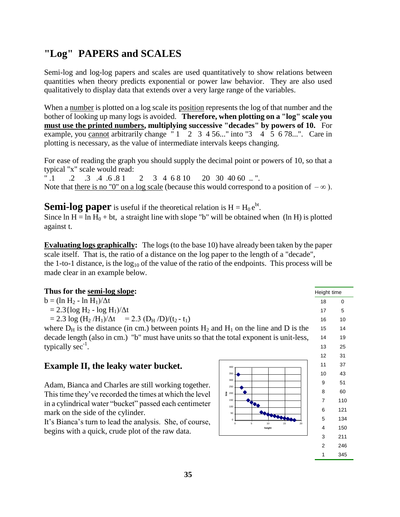# **"Log" PAPERS and SCALES**

Semi-log and log-log papers and scales are used quantitatively to show relations between quantities when theory predicts exponential or power law behavior. They are also used qualitatively to display data that extends over a very large range of the variables.

When a number is plotted on a log scale its position represents the log of that number and the bother of looking up many logs is avoided. **Therefore, when plotting on a "log" scale you must use the printed numbers, multiplying successive "decades" by powers of 10.** For example, you cannot arbitrarily change  $"1"2"3"4"5"6"3"4"5"6"78...".$  Care in plotting is necessary, as the value of intermediate intervals keeps changing.

For ease of reading the graph you should supply the decimal point or powers of 10, so that a typical "x" scale would read:

".1 .2 .3 .4 .6 .8 1 2 3 4 6 8 10 20 30 40 60 .. ". Note that there is no "0" on a log scale (because this would correspond to a position of  $-\infty$ ).

**Semi-log paper** is useful if the theoretical relation is  $H = H_0 e^{bt}$ . Since  $\ln H = \ln H_0 + \text{bt}$ , a straight line with slope "b" will be obtained when (ln H) is plotted

against t.

**Evaluating logs graphically:** The logs (to the base 10) have already been taken by the paper scale itself. That is, the ratio of a distance on the log paper to the length of a "decade", the 1-to-1 distance, is the  $log_{10}$  of the value of the ratio of the endpoints. This process will be made clear in an example below.

| Thus for the semi-log slope:                                                                 |                             | Height time    |          |
|----------------------------------------------------------------------------------------------|-----------------------------|----------------|----------|
| $b = (\ln H_2 - \ln H_1)/\Delta t$                                                           |                             | 18             | $\Omega$ |
| $= 2.3 \{ \log H_2 - \log H_1 \} / \Delta t$                                                 |                             | 17             | 5        |
| $= 2.3 \log (H_2/H_1)/\Delta t$ = 2.3 (D <sub>H</sub> /D)/(t <sub>2</sub> - t <sub>1</sub> ) |                             | 16             | 10       |
| where $D_H$ is the distance (in cm.) between points $H_2$ and $H_1$ on the line and D is the |                             | 15             | 14       |
| decade length (also in cm.) "b" must have units so that the total exponent is unit-less,     |                             | 14             | 19       |
| typically $sec^{-1}$ .                                                                       |                             | 13             | 25       |
|                                                                                              |                             | 12             | 31       |
| <b>Example II, the leaky water bucket.</b>                                                   | 400                         | 11             | 37       |
|                                                                                              | 350                         | 10             | 43       |
| Adam, Bianca and Charles are still working together.                                         | 300<br>250                  | 9              | 51       |
| This time they've recorded the times at which the level                                      | $\frac{8}{5}$ 200           | 8              | 60       |
| in a cylindrical water "bucket" passed each centimeter                                       | 150                         | $\overline{7}$ | 110      |
| mark on the side of the cylinder.                                                            | 100<br>50                   | 6              | 121      |
| It's Bianca's turn to lead the analysis. She, of course,                                     | 5<br>10 <sub>10</sub><br>20 | 5              | 134      |
| begins with a quick, crude plot of the raw data.                                             | height                      | 4              | 150      |
|                                                                                              |                             | 3              | 211      |
|                                                                                              |                             | $\overline{2}$ | 246      |
|                                                                                              |                             |                | 345      |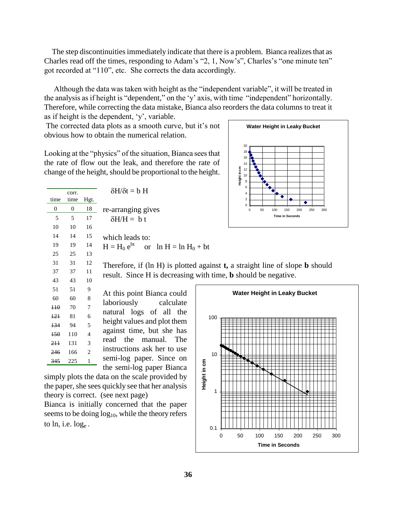The step discontinuities immediately indicate that there is a problem. Bianca realizes that as Charles read off the times, responding to Adam's "2, 1, Now's", Charles's "one minute ten" got recorded at "110", etc. She corrects the data accordingly.

 Although the data was taken with height as the "independent variable", it will be treated in the analysis as if height is "dependent," on the "y" axis, with time "independent" horizontally. Therefore, while correcting the data mistake, Bianca also reorders the data columns to treat it as if height is the dependent, "y", variable.

The corrected data plots as a smooth curve, but it's not obvious how to obtain the numerical relation.

**Water Height in Leaky Bucket** 0 2 4 6 8 10 12 14 16 18 20 0 50 100 150 200 250 300 **Time in Seconds Height in cm**

Looking at the "physics" of the situation, Bianca sees that the rate of flow out the leak, and therefore the rate of change of the height, should be proportional to the height.

|                  | corr.          |                | $\delta H/\delta t = b H$                               | 6                                                                                      |
|------------------|----------------|----------------|---------------------------------------------------------|----------------------------------------------------------------------------------------|
| time             | time           | Hgt.           |                                                         | $\overline{\mathbf{c}}$                                                                |
| $\overline{0}$   | $\overline{0}$ | 18             | re-arranging gives                                      | $\Omega$<br>50<br>150<br>250<br>300<br>$\Omega$<br>100<br>200                          |
| 5                | 5              | 17             | $\delta H/H = b t$                                      | <b>Time in Seconds</b>                                                                 |
| 10               | 10             | 16             |                                                         |                                                                                        |
| 14               | 14             | 15             | which leads to:                                         |                                                                                        |
| 19               | 19             | 14             | $H = H_0 e^{bt}$ or $\ln H = \ln H_0 + bt$              |                                                                                        |
| 25               | 25             | 13             |                                                         |                                                                                        |
| 31               | 31             | 12             |                                                         | Therefore, if (ln H) is plotted against $t$ , a straight line of slope <b>b</b> should |
| 37               | 37             | 11             |                                                         | result. Since H is decreasing with time, <b>b</b> should be negative.                  |
| 43               | 43             | 10             |                                                         |                                                                                        |
|                  |                |                |                                                         |                                                                                        |
| 51               | 51             | 9              |                                                         |                                                                                        |
| 60               | 60             | 8              | At this point Bianca could                              | <b>Water Height in Leaky Bucket</b>                                                    |
| $\overline{110}$ | 70             | 7              | laboriously<br>calculate                                |                                                                                        |
| 121              | 81             | 6              | natural logs of all the                                 | 100                                                                                    |
| 134              | 94             | 5              | height values and plot them                             |                                                                                        |
| <b>150</b>       | 110            | 4              | against time, but she has                               |                                                                                        |
| 2H               | 131            | 3              | the<br>manual. The<br>read                              |                                                                                        |
| 246              | 166            | $\mathfrak{D}$ | instructions ask her to use<br>semi-log paper. Since on | 10                                                                                     |

simply plots the data on the scale provided by the paper, she sees quickly see that her analysis theory is correct. (see next page)

the semi-log paper Bianca

Bianca is initially concerned that the paper seems to be doing  $log_{10}$ , while the theory refers to  $ln$ , i.e.  $log<sub>e</sub>$ .

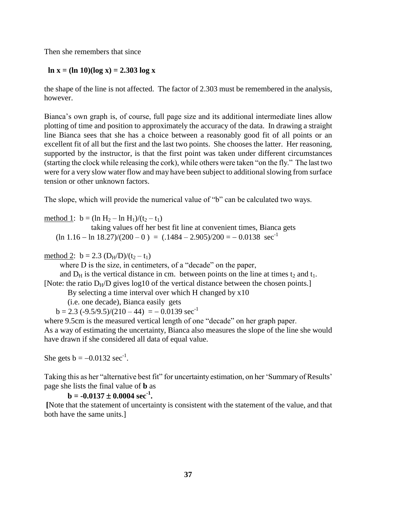Then she remembers that since

#### **ln x = (ln 10)(log x) = 2.303 log x**

the shape of the line is not affected. The factor of 2.303 must be remembered in the analysis, however.

Bianca"s own graph is, of course, full page size and its additional intermediate lines allow plotting of time and position to approximately the accuracy of the data. In drawing a straight line Bianca sees that she has a choice between a reasonably good fit of all points or an excellent fit of all but the first and the last two points. She chooses the latter. Her reasoning, supported by the instructor, is that the first point was taken under different circumstances (starting the clock while releasing the cork), while others were taken "on the fly." The last two were for a very slow water flow and may have been subject to additional slowing from surface tension or other unknown factors.

The slope, which will provide the numerical value of "b" can be calculated two ways.

method 1:  $b = (\ln H_2 - \ln H_1)/(t_2 - t_1)$ 

taking values off her best fit line at convenient times, Bianca gets  $(\ln 1.16 - \ln 18.27)/(200 - 0) = (.1484 - 2.905)/200 = -0.0138 \text{ sec}^{-1}$ 

method 2:  $b = 2.3$  (D<sub>H</sub>/D)/(t<sub>2</sub> – t<sub>1</sub>)

where D is the size, in centimeters, of a "decade" on the paper,

and  $D_H$  is the vertical distance in cm. between points on the line at times  $t_2$  and  $t_1$ . [Note: the ratio  $D_H/D$  gives  $log10$  of the vertical distance between the chosen points.]

By selecting a time interval over which H changed by x10

(i.e. one decade), Bianca easily gets

 $b = 2.3 (-9.5/9.5)/(210 - 44) = -0.0139 \text{ sec}^{-1}$ 

where 9.5cm is the measured vertical length of one "decade" on her graph paper. As a way of estimating the uncertainty, Bianca also measures the slope of the line she would have drawn if she considered all data of equal value.

She gets  $b = -0.0132 \text{ sec}^{-1}$ .

Taking this as her "alternative best fit" for uncertainty estimation, on her "Summary of Results" page she lists the final value of **b** as

 $\mathbf{b} = -0.0137 \pm 0.0004 \text{ sec}^{-1}$ .

**[**Note that the statement of uncertainty is consistent with the statement of the value, and that both have the same units.]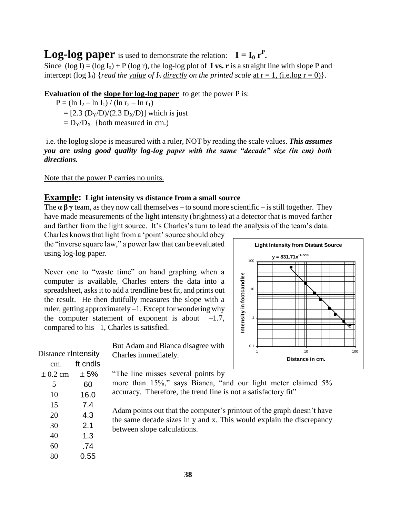**Log-log paper** is used to demonstrate the relation:  $I = I_0 r^P$ .

Since  $(\log I) = (\log I_0) + P (\log r)$ , the log-log plot of **I** vs. r is a straight line with slope P and intercept (log I<sub>0</sub>) {*read the <u>value</u> of I<sub>0</sub> <u>directly</u> on the printed scale* <u>at  $r = 1$ , (i.e.log  $r = 0$ )</u>}.

**Evaluation of the slope for log-log paper** to get the power P is:

 $P = (\ln I_2 - \ln I_1) / (\ln r_2 - \ln r_1)$  $=[2.3 (D<sub>Y</sub>/D)/(2.3 D<sub>X</sub>/D)]$  which is just  $= D_Y/D_X$  {both measured in cm.)

i.e. the loglog slope is measured with a ruler, NOT by reading the scale values. *This assumes you are using good quality log-log paper with the same "decade" size (in cm) both directions.*

#### Note that the power P carries no units.

#### **Example: Light intensity vs distance from a small source**

The  $\alpha \beta \gamma$  team, as they now call themselves – to sound more scientific – is still together. They have made measurements of the light intensity (brightness) at a detector that is moved farther and farther from the light source. It's Charles's turn to lead the analysis of the team's data.

Charles knows that light from a "point" source should obey the "inverse square law," a power law that can be evaluated using log-log paper.

Never one to "waste time" on hand graphing when a computer is available, Charles enters the data into a spreadsheet, asks it to add a trendline best fit, and prints out the result. He then dutifully measures the slope with a ruler, getting approximately –1. Except for wondering why the computer statement of exponent is about  $-1.7$ , compared to his –1, Charles is satisfied.

> But Adam and Bianca disagree with Charles immediately.

"The line misses several points by

more than 15%," says Bianca, "and our light meter claimed 5% accuracy. Therefore, the trend line is not a satisfactory fit"

Adam points out that the computer's printout of the graph doesn't have the same decade sizes in y and x. This would explain the discrepancy between slope calculations.



| Distance rIntensity |  |  |  |
|---------------------|--|--|--|
| ft cndls            |  |  |  |
| $\pm 5\%$           |  |  |  |
| 60                  |  |  |  |
| 16.0                |  |  |  |
| 7.4                 |  |  |  |
| 4.3                 |  |  |  |
| 2.1                 |  |  |  |
| 1.3                 |  |  |  |
| .74                 |  |  |  |
| 0.55                |  |  |  |
|                     |  |  |  |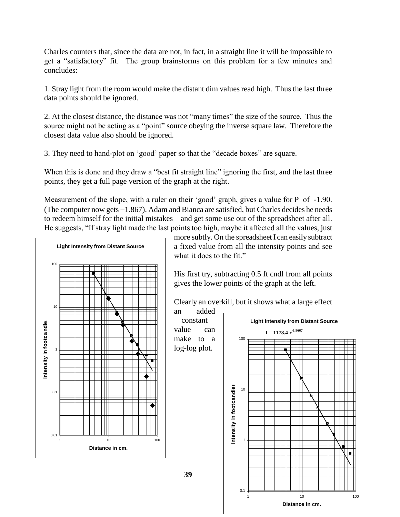Charles counters that, since the data are not, in fact, in a straight line it will be impossible to get a "satisfactory" fit. The group brainstorms on this problem for a few minutes and concludes:

1. Stray light from the room would make the distant dim values read high. Thus the last three data points should be ignored.

2. At the closest distance, the distance was not "many times" the size of the source. Thus the source might not be acting as a "point" source obeying the inverse square law. Therefore the closest data value also should be ignored.

3. They need to hand-plot on "good" paper so that the "decade boxes" are square.

When this is done and they draw a "best fit straight line" ignoring the first, and the last three points, they get a full page version of the graph at the right.

Measurement of the slope, with a ruler on their 'good' graph, gives a value for P of -1.90. (The computer now gets  $-1.867$ ). Adam and Bianca are satisfied, but Charles decides he needs to redeem himself for the initial mistakes – and get some use out of the spreadsheet after all. He suggests, "If stray light made the last points too high, maybe it affected all the values, just

**39**



more subtly. On the spreadsheet I can easily subtract a fixed value from all the intensity points and see what it does to the fit."

His first try, subtracting 0.5 ft cndl from all points gives the lower points of the graph at the left.

Clearly an overkill, but it shows what a large effect

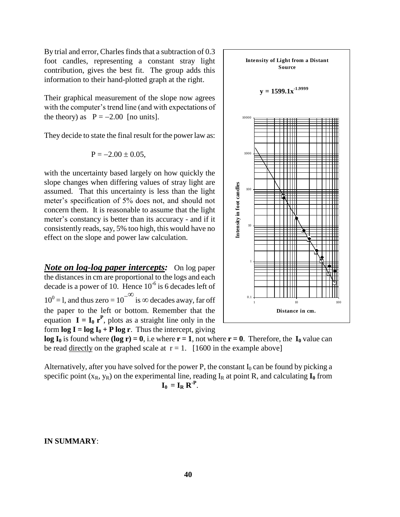By trial and error, Charles finds that a subtraction of 0.3 foot candles, representing a constant stray light contribution, gives the best fit. The group adds this information to their hand-plotted graph at the right.

Their graphical measurement of the slope now agrees with the computer's trend line (and with expectations of the theory) as  $P = -2.00$  [no units].

They decide to state the final result for the power law as:

$$
P = -2.00 \pm 0.05,
$$

with the uncertainty based largely on how quickly the slope changes when differing values of stray light are assumed. That this uncertainty is less than the light meter's specification of 5% does not, and should not concern them. It is reasonable to assume that the light meter's constancy is better than its accuracy - and if it consistently reads, say, 5% too high, this would have no effect on the slope and power law calculation.

*Note on log-log paper intercepts:* On log paper the distances in cm are proportional to the logs and each decade is a power of 10. Hence  $10^{-6}$  is 6 decades left of  $10^0 =$  l, and thus zero =  $10^{-\infty}$  is  $\infty$  decades away, far off the paper to the left or bottom. Remember that the equation  $I = I_0 r^P$ , plots as a straight line only in the form  $\log I = \log I_0 + P \log r$ . Thus the intercept, giving



1 10 100 **Distance in cm.**

0.1

**Intensity of Light from a Distant Source**

**y = 1599.1x-1.9999**

**log I<sub>0</sub>** is found where **(log r)** = **0**, i.e where **r** = 1, not where **r** = 0. Therefore, the **I**<sub>0</sub> value can be read directly on the graphed scale at  $r = 1$ . [1600 in the example above]

Alternatively, after you have solved for the power P, the constant  $I_0$  can be found by picking a specific point  $(x_R, y_R)$  on the experimental line, reading  $I_R$  at point R, and calculating  $I_0$  from  $\mathbf{I}_0 = \mathbf{I}_R \, \mathbf{R}^{-P}$ .

**IN SUMMARY**: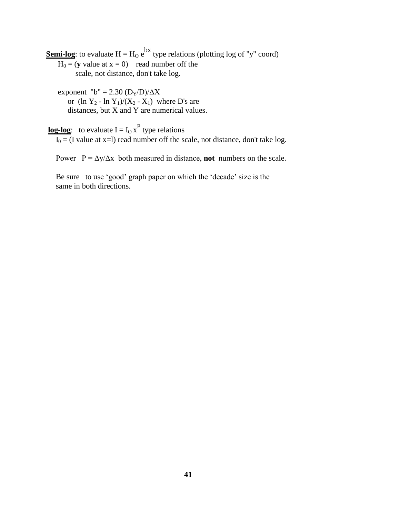**Semi-log**: to evaluate  $H = H_0 e^{bx}$  type relations (plotting log of "y" coord)

- $H_0 = (y \text{ value at } x = 0)$  read number off the scale, not distance, don't take log.
- exponent "b" = 2.30  $(D_Y/D)/\Delta X$ or  $(\ln Y_2 - \ln Y_1)/(X_2 - X_1)$  where D's are distances, but X and Y are numerical values.

**log-log**: to evaluate  $I = I_0 x^P$  type relations

 $\overline{I_0}$  = (I value at x=l) read number off the scale, not distance, don't take log.

Power  $P = \Delta y / \Delta x$  both measured in distance, **not** numbers on the scale.

Be sure to use 'good' graph paper on which the 'decade' size is the same in both directions.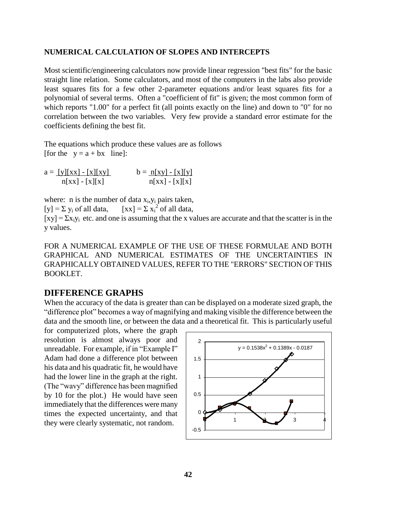#### **NUMERICAL CALCULATION OF SLOPES AND INTERCEPTS**

Most scientific/engineering calculators now provide linear regression "best fits" for the basic straight line relation. Some calculators, and most of the computers in the labs also provide least squares fits for a few other 2-parameter equations and/or least squares fits for a polynomial of several terms. Often a "coefficient of fit" is given; the most common form of which reports "1.00" for a perfect fit (all points exactly on the line) and down to "0" for no correlation between the two variables. Very few provide a standard error estimate for the coefficients defining the best fit.

The equations which produce these values are as follows [for the  $y = a + bx$  line]:

 $a = [y][xx] - [x][xy]$   $b = n[xy] - [x][y]$  $n[xx] - [x][x]$   $n[xx] - [x][x]$ 

where: n is the number of data  $x_i, y_i$  pairs taken,  $[y] = \sum y_i$  of all data,  $2^{2}$  of all data,

 $[xy] = \sum x_i y_i$  etc. and one is assuming that the x values are accurate and that the scatter is in the y values.

FOR A NUMERICAL EXAMPLE OF THE USE OF THESE FORMULAE AND BOTH GRAPHICAL AND NUMERICAL ESTIMATES OF THE UNCERTAINTIES IN GRAPHICALLY OBTAINED VALUES, REFER TO THE "ERRORS" SECTION OF THIS BOOKLET.

#### **DIFFERENCE GRAPHS**

When the accuracy of the data is greater than can be displayed on a moderate sized graph, the "difference plot" becomes a way of magnifying and making visible the difference between the data and the smooth line, or between the data and a theoretical fit. This is particularly useful

for computerized plots, where the graph resolution is almost always poor and unreadable. For example, if in "Example I" Adam had done a difference plot between his data and his quadratic fit, he would have had the lower line in the graph at the right. (The "wavy" difference has been magnified by 10 for the plot.) He would have seen immediately that the differences were many times the expected uncertainty, and that they were clearly systematic, not random.

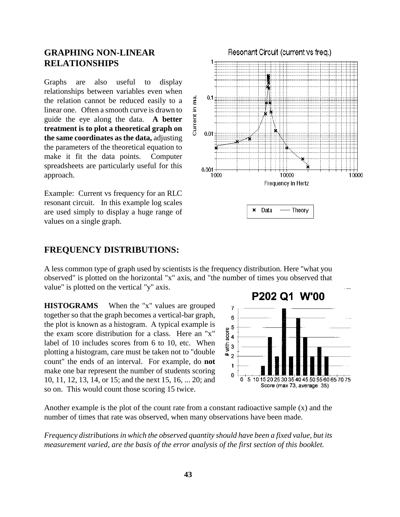## **GRAPHING NON-LINEAR RELATIONSHIPS**

Graphs are also useful to display relationships between variables even when the relation cannot be reduced easily to a linear one. Often a smooth curve is drawn to guide the eye along the data. **A better treatment is to plot a theoretical graph on the same coordinates as the data,** adjusting the parameters of the theoretical equation to make it fit the data points. Computer spreadsheets are particularly useful for this approach.

Example: Current vs frequency for an RLC resonant circuit. In this example log scales are used simply to display a huge range of values on a single graph.

### **FREQUENCY DISTRIBUTIONS:**

A less common type of graph used by scientists is the frequency distribution. Here "what you observed" is plotted on the horizontal "x" axis, and "the number of times you observed that value" is plotted on the vertical "y" axis.

 $0.1$ 

 $0.01$ 

 $0.001$ 1000

Current in ma.

**HISTOGRAMS** When the "x" values are grouped together so that the graph becomes a vertical-bar graph, the plot is known as a histogram. A typical example is the exam score distribution for a class. Here an "x" label of 10 includes scores from 6 to 10, etc. When plotting a histogram, care must be taken not to "double count" the ends of an interval. For example, do **not** make one bar represent the number of students scoring 10, 11, 12, 13, 14, or 15; and the next 15, 16, ... 20; and so on. This would count those scoring 15 twice.



10000

Frequency in Hertz

Theory

Data ×

10000

Another example is the plot of the count rate from a constant radioactive sample (x) and the number of times that rate was observed, when many observations have been made.

*Frequency distributions in which the observed quantity should have been a fixed value, but its measurement varied, are the basis of the error analysis of the first section of this booklet.*

Resonant Circuit (current vs freq.)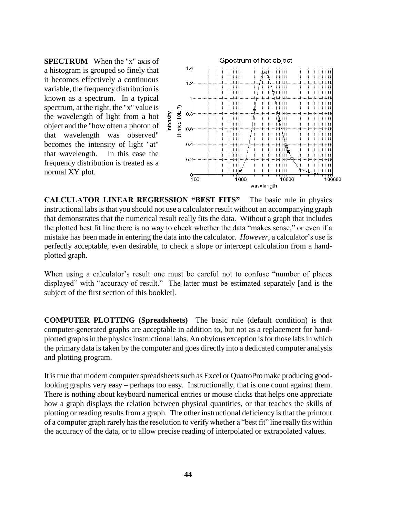**SPECTRUM** When the "x" axis of a histogram is grouped so finely that it becomes effectively a continuous variable, the frequency distribution is known as a spectrum. In a typical spectrum, at the right, the "x" value is the wavelength of light from a hot object and the "how often a photon of that wavelength was observed" becomes the intensity of light "at" that wavelength. In this case the frequency distribution is treated as a normal XY plot.



**CALCULATOR LINEAR REGRESSION "BEST FITS"** The basic rule in physics instructional labs is that you should not use a calculator result without an accompanying graph that demonstrates that the numerical result really fits the data. Without a graph that includes the plotted best fit line there is no way to check whether the data "makes sense," or even if a mistake has been made in entering the data into the calculator*. However*, a calculator"s use is perfectly acceptable, even desirable, to check a slope or intercept calculation from a handplotted graph.

When using a calculator's result one must be careful not to confuse "number of places" displayed" with "accuracy of result." The latter must be estimated separately [and is the subject of the first section of this booklet].

**COMPUTER PLOTTING (Spreadsheets)** The basic rule (default condition) is that computer-generated graphs are acceptable in addition to, but not as a replacement for handplotted graphs in the physics instructional labs. An obvious exception is for those labs in which the primary data is taken by the computer and goes directly into a dedicated computer analysis and plotting program.

It is true that modern computer spreadsheets such as Excel or QuatroPro make producing goodlooking graphs very easy – perhaps too easy. Instructionally, that is one count against them. There is nothing about keyboard numerical entries or mouse clicks that helps one appreciate how a graph displays the relation between physical quantities, or that teaches the skills of plotting or reading results from a graph. The other instructional deficiency is that the printout of a computer graph rarely has the resolution to verify whether a "best fit" line really fits within the accuracy of the data, or to allow precise reading of interpolated or extrapolated values.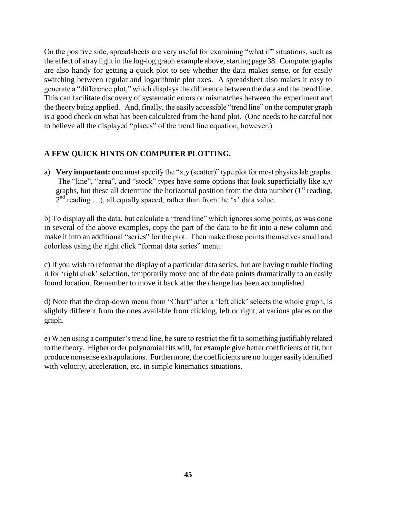On the positive side, spreadsheets are very useful for examining "what if" situations, such as the effect of stray light in the log-log graph example above, starting page 38. Computer graphs are also handy for getting a quick plot to see whether the data makes sense, or for easily switching between regular and logarithmic plot axes. A spreadsheet also makes it easy to generate a "difference plot," which displays the difference between the data and the trend line. This can facilitate discovery of systematic errors or mismatches between the experiment and the theory being applied. And, finally, the easily accessible "trend line" on the computer graph is a good check on what has been calculated from the hand plot. (One needs to be careful not to believe all the displayed "places" of the trend line equation, however.)

#### **A FEW QUICK HINTS ON COMPUTER PLOTTING.**

a) **Very important:** one must specify the "x,y (scatter)" type plot for most physics lab graphs. The "line", "area", and "stock" types have some options that look superficially like x,y graphs, but these all determine the horizontal position from the data number  $(1<sup>st</sup> reading,$  $2<sup>nd</sup>$  reading ...), all equally spaced, rather than from the 'x' data value.

b) To display all the data, but calculate a "trend line" which ignores some points, as was done in several of the above examples, copy the part of the data to be fit into a new column and make it into an additional "series" for the plot. Then make those points themselves small and colorless using the right click "format data series" menu.

c) If you wish to reformat the display of a particular data series, but are having trouble finding it for "right click" selection, temporarily move one of the data points dramatically to an easily found location. Remember to move it back after the change has been accomplished.

d) Note that the drop-down menu from "Chart" after a "left click" selects the whole graph, is slightly different from the ones available from clicking, left or right, at various places on the graph.

e) When using a computer"s trend line, be sure to restrict the fit to something justifiably related to the theory. Higher order polynomial fits will, for example give better coefficients of fit, but produce nonsense extrapolations. Furthermore, the coefficients are no longer easily identified with velocity, acceleration, etc. in simple kinematics situations.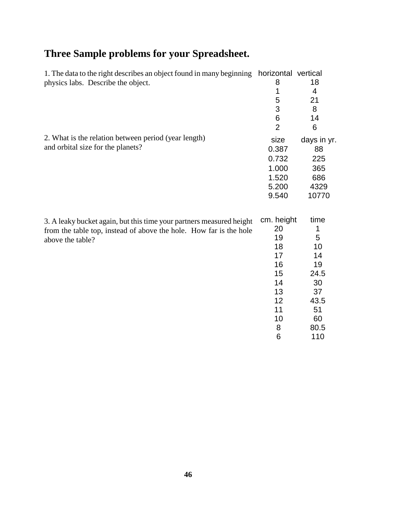# **Three Sample problems for your Spreadsheet.**

| 1. The data to the right describes an object found in many beginning horizontal vertical |                |             |
|------------------------------------------------------------------------------------------|----------------|-------------|
| physics labs. Describe the object.                                                       | 8              | 18          |
|                                                                                          | 1              | 4           |
|                                                                                          | 5              | 21          |
|                                                                                          | 3              | 8           |
|                                                                                          | 6              | 14          |
|                                                                                          | $\overline{2}$ | 6           |
| 2. What is the relation between period (year length)                                     | size           | days in yr. |
| and orbital size for the planets?                                                        | 0.387          | 88          |
|                                                                                          | 0.732          | 225         |
|                                                                                          | 1.000          | 365         |
|                                                                                          | 1.520          | 686         |
|                                                                                          | 5.200          | 4329        |
|                                                                                          | 9.540          | 10770       |
| 3. A leaky bucket again, but this time your partners measured height                     | cm. height     | time        |
| from the table top, instead of above the hole. How far is the hole                       | 20             | 1           |
| above the table?                                                                         | 19             | 5           |
|                                                                                          | 18             | 10          |
|                                                                                          | 17             | 14          |
|                                                                                          | 16             | 19          |
|                                                                                          | 15             | 24.5        |
|                                                                                          | 14             | 30          |
|                                                                                          | 13             | 37          |
|                                                                                          | 12             | 43.5        |
|                                                                                          | 11             | 51          |

10 60 8 80.5 6 110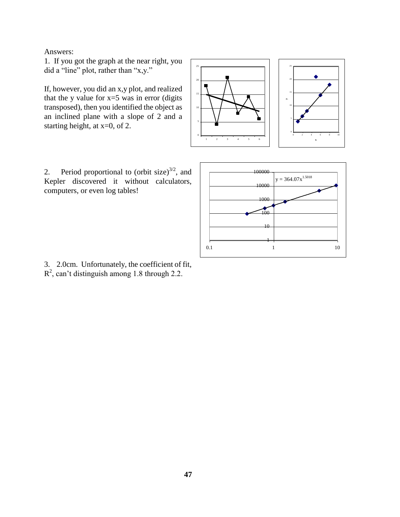Answers:

1. If you got the graph at the near right, you did a "line" plot, rather than "x,y."

If, however, you did an x,y plot, and realized that the y value for  $x=5$  was in error (digits transposed), then you identified the object as an inclined plane with a slope of 2 and a starting height, at x=0, of 2.

2. Period proportional to (orbit size) $^{3/2}$ , and Kepler discovered it without calculators, computers, or even log tables!





3. 2.0cm. Unfortunately, the coefficient of fit,  $R^2$ , can't distinguish among 1.8 through 2.2.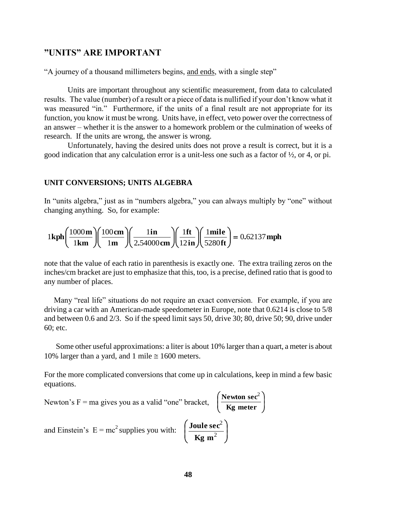#### **"UNITS" ARE IMPORTANT**

"A journey of a thousand millimeters begins, and ends, with a single step"

Units are important throughout any scientific measurement, from data to calculated results. The value (number) of a result or a piece of data is nullified if your don"t know what it was measured "in." Furthermore, if the units of a final result are not appropriate for its function, you know it must be wrong. Units have, in effect, veto power over the correctness of an answer – whether it is the answer to a homework problem or the culmination of weeks of research. If the units are wrong, the answer is wrong.

Unfortunately, having the desired units does not prove a result is correct, but it is a good indication that any calculation error is a unit-less one such as a factor of ½, or 4, or pi.

#### **UNIT CONVERSIONS; UNITS ALGEBRA**

In "units algebra," just as in "numbers algebra," you can always multiply by "one" without changing anything. So, for example:

hanging anything. So, for example:  
\n
$$
1\text{ kph}\left(\frac{1000\text{ m}}{1\text{ km}}\right)\left(\frac{100\text{ cm}}{1\text{ m}}\right)\left(\frac{1\text{ in}}{2.54000\text{ cm}}\right)\left(\frac{1\text{ ft}}{12\text{ in}}\right)\left(\frac{1\text{ mile}}{5280\text{ ft}}\right) = 0.62137\text{ mph}
$$

note that the value of each ratio in parenthesis is exactly one. The extra trailing zeros on the inches/cm bracket are just to emphasize that this, too, is a precise, defined ratio that is good to any number of places.

Many "real life" situations do not require an exact conversion. For example, if you are driving a car with an American-made speedometer in Europe, note that 0.6214 is close to 5/8 and between 0.6 and 2/3. So if the speed limit says 50, drive 30; 80, drive 50; 90, drive under 60; etc.

 Some other useful approximations: a liter is about 10% larger than a quart, a meter is about 10% larger than a yard, and 1 mile  $\approx$  1600 meters.

For the more complicated conversions that come up in calculations, keep in mind a few basic equations.

> $\overline{\phantom{a}}$ J

> Ì

Newton's F = ma gives you as a valid "one" bracket, 
$$
\left(\frac{\text{Newton sec}^2}{\text{Kg meter}}\right)
$$
  
and Einstein's E = mc<sup>2</sup> supplies you with:  $\left(\frac{\text{Joule sec}^2}{\text{Kg m}^2}\right)$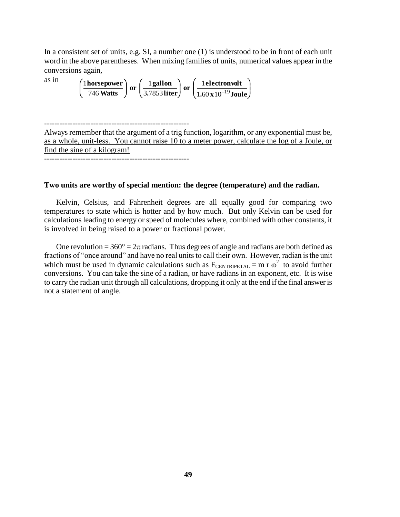In a consistent set of units, e.g. SI, a number one (1) is understood to be in front of each unit word in the above parentheses. When mixing families of units, numerical values appear in the conversions again,

which may ramifies to this, find  
\nconversions again,  
\nas in  
\n
$$
\left(\frac{1 \text{horsepower}}{746 \text{ Watts}}\right) \text{ or } \left(\frac{1 \text{ gallon}}{3.7853 \text{ liter}}\right) \text{ or } \left(\frac{1 \text{electronvolt}}{1.60 \text{ x } 10^{-19} \text{Joule}}\right)
$$

--------------------------------------------------------

Always remember that the argument of a trig function, logarithm, or any exponential must be, as a whole, unit-less. You cannot raise 10 to a meter power, calculate the log of a Joule, or find the sine of a kilogram!

--------------------------------------------------------

#### **Two units are worthy of special mention: the degree (temperature) and the radian.**

Kelvin, Celsius, and Fahrenheit degrees are all equally good for comparing two temperatures to state which is hotter and by how much. But only Kelvin can be used for calculations leading to energy or speed of molecules where, combined with other constants, it is involved in being raised to a power or fractional power.

One revolution =  $360^\circ$  =  $2\pi$  radians. Thus degrees of angle and radians are both defined as fractions of "once around" and have no real units to call their own. However, radian is the unit which must be used in dynamic calculations such as  $F_{\text{CENTRIPETAL}} = m r \omega^2$  to avoid further conversions. You can take the sine of a radian, or have radians in an exponent, etc. It is wise to carry the radian unit through all calculations, dropping it only at the end if the final answer is not a statement of angle.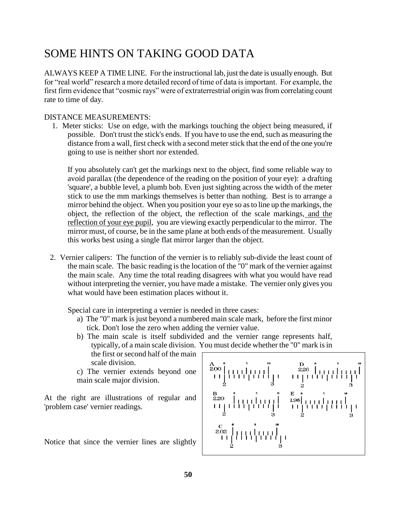# SOME HINTS ON TAKING GOOD DATA

ALWAYS KEEP A TIME LINE. For the instructional lab, just the date is usually enough. But for "real world" research a more detailed record of time of data is important. For example, the first firm evidence that "cosmic rays" were of extraterrestrial origin was from correlating count rate to time of day.

#### DISTANCE MEASUREMENTS:

 1. Meter sticks: Use on edge, with the markings touching the object being measured, if possible. Don't trust the stick's ends. If you have to use the end, such as measuring the distance from a wall, first check with a second meter stick that the end of the one you're going to use is neither short nor extended.

If you absolutely can't get the markings next to the object, find some reliable way to avoid parallax (the dependence of the reading on the position of your eye): a drafting 'square', a bubble level, a plumb bob. Even just sighting across the width of the meter stick to use the mm markings themselves is better than nothing. Best is to arrange a mirror behind the object. When you position your eye so as to line up the markings, the object, the reflection of the object, the reflection of the scale markings, and the reflection of your eye pupil, you are viewing exactly perpendicular to the mirror. The mirror must, of course, be in the same plane at both ends of the measurement. Usually this works best using a single flat mirror larger than the object.

 2. Vernier calipers: The function of the vernier is to reliably sub-divide the least count of the main scale. The basic reading is the location of the "0" mark of the vernier against the main scale. Any time the total reading disagrees with what you would have read without interpreting the vernier, you have made a mistake. The vernier only gives you what would have been estimation places without it.

Special care in interpreting a vernier is needed in three cases:

- a) The "0" mark is just beyond a numbered main scale mark, before the first minor tick. Don't lose the zero when adding the vernier value.
- b) The main scale is itself subdivided and the vernier range represents half, typically, of a main scale division. You must decide whether the "0" mark is in the first or second half of the main scale division.

c) The vernier extends beyond one main scale major division.

At the right are illustrations of regular and 'problem case' vernier readings.

Notice that since the vernier lines are slightly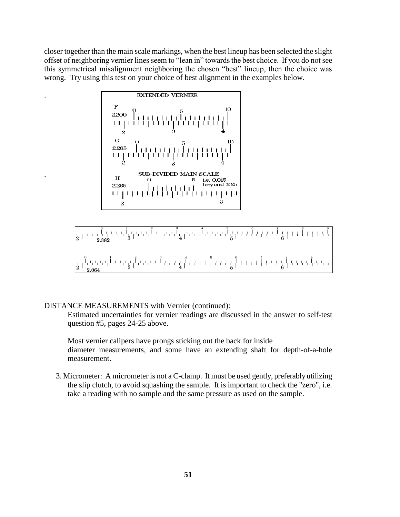closer together than the main scale markings, when the best lineup has been selected the slight offset of neighboring vernier lines seem to "lean in" towards the best choice. If you do not see this symmetrical misalignment neighboring the chosen "best" lineup, then the choice was wrong. Try using this test on your choice of best alignment in the examples below.



#### DISTANCE MEASUREMENTS with Vernier (continued):

.

.

Estimated uncertainties for vernier readings are discussed in the answer to self-test question #5, pages 24-25 above.

Most vernier calipers have prongs sticking out the back for inside diameter measurements, and some have an extending shaft for depth-of-a-hole measurement.

3. Micrometer: A micrometer is not a C-clamp. It must be used gently, preferably utilizing the slip clutch, to avoid squashing the sample. It is important to check the "zero", i.e. take a reading with no sample and the same pressure as used on the sample.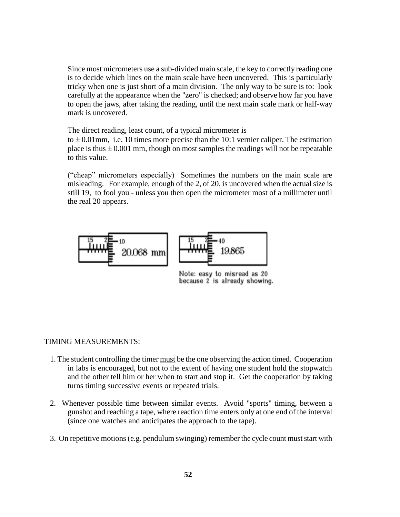Since most micrometers use a sub-divided main scale, the key to correctly reading one is to decide which lines on the main scale have been uncovered. This is particularly tricky when one is just short of a main division. The only way to be sure is to: look carefully at the appearance when the "zero" is checked; and observe how far you have to open the jaws, after taking the reading, until the next main scale mark or half-way mark is uncovered.

The direct reading, least count, of a typical micrometer is

to  $\pm$  0.01mm, i.e. 10 times more precise than the 10:1 vernier caliper. The estimation place is thus  $\pm 0.001$  mm, though on most samples the readings will not be repeatable to this value.

("cheap" micrometers especially) Sometimes the numbers on the main scale are misleading. For example, enough of the 2, of 20, is uncovered when the actual size is still 19, to fool you - unless you then open the micrometer most of a millimeter until the real 20 appears.



Note: easy to misread as 20 because 2 is already showing.

#### TIMING MEASUREMENTS:

- 1. The student controlling the timer must be the one observing the action timed. Cooperation in labs is encouraged, but not to the extent of having one student hold the stopwatch and the other tell him or her when to start and stop it. Get the cooperation by taking turns timing successive events or repeated trials.
- 2. Whenever possible time between similar events. Avoid "sports" timing, between a gunshot and reaching a tape, where reaction time enters only at one end of the interval (since one watches and anticipates the approach to the tape).
- 3. On repetitive motions (e.g. pendulum swinging) remember the cycle count must start with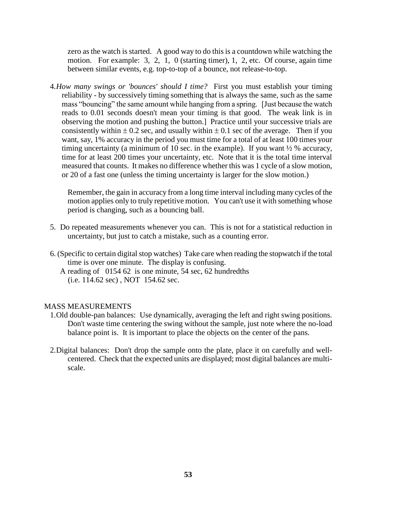zero as the watch is started. A good way to do this is a countdown while watching the motion. For example: 3, 2, 1, 0 (starting timer), 1, 2, etc. Of course, again time between similar events, e.g. top-to-top of a bounce, not release-to-top.

4.*How many swings or 'bounces' should I time?* First you must establish your timing reliability - by successively timing something that is always the same, such as the same mass "bouncing" the same amount while hanging from a spring. [Just because the watch reads to 0.01 seconds doesn't mean your timing is that good. The weak link is in observing the motion and pushing the button.] Practice until your successive trials are consistently within  $\pm 0.2$  sec, and usually within  $\pm 0.1$  sec of the average. Then if you want, say, 1% accuracy in the period you must time for a total of at least 100 times your timing uncertainty (a minimum of 10 sec. in the example). If you want  $\frac{1}{2}$  % accuracy, time for at least 200 times your uncertainty, etc. Note that it is the total time interval measured that counts. It makes no difference whether this was 1 cycle of a slow motion, or 20 of a fast one (unless the timing uncertainty is larger for the slow motion.)

Remember, the gain in accuracy from a long time interval including many cycles of the motion applies only to truly repetitive motion. You can't use it with something whose period is changing, such as a bouncing ball.

- 5. Do repeated measurements whenever you can. This is not for a statistical reduction in uncertainty, but just to catch a mistake, such as a counting error.
- 6. (Specific to certain digital stop watches) Take care when reading the stopwatch if the total time is over one minute. The display is confusing.
	- A reading of 0154 62 is one minute, 54 sec, 62 hundredths (i.e. 114.62 sec) , NOT 154.62 sec.

#### MASS MEASUREMENTS

- 1.Old double-pan balances: Use dynamically, averaging the left and right swing positions. Don't waste time centering the swing without the sample, just note where the no-load balance point is. It is important to place the objects on the center of the pans.
- 2.Digital balances: Don't drop the sample onto the plate, place it on carefully and wellcentered. Check that the expected units are displayed; most digital balances are multiscale.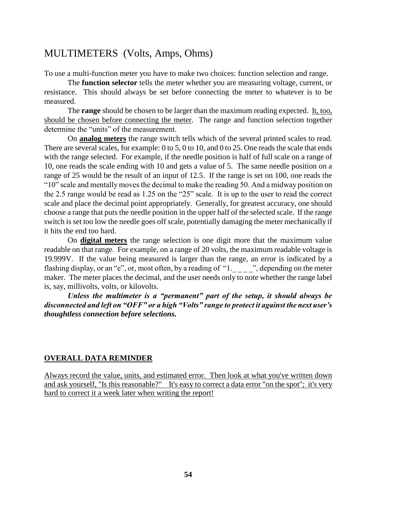# MULTIMETERS (Volts, Amps, Ohms)

To use a multi-function meter you have to make two choices: function selection and range.

The **function selector** tells the meter whether you are measuring voltage, current, or resistance. This should always be set before connecting the meter to whatever is to be measured.

The **range** should be chosen to be larger than the maximum reading expected. It, too, should be chosen before connecting the meter. The range and function selection together determine the "units" of the measurement.

On **analog meters** the range switch tells which of the several printed scales to read. There are several scales, for example: 0 to 5, 0 to 10, and 0 to 25. One reads the scale that ends with the range selected. For example, if the needle position is half of full scale on a range of 10, one reads the scale ending with 10 and gets a value of 5. The same needle position on a range of 25 would be the result of an input of 12.5. If the range is set on 100, one reads the "10" scale and mentally moves the decimal to make the reading 50. And a midway position on the 2.5 range would be read as 1.25 on the "25" scale. It is up to the user to read the correct scale and place the decimal point appropriately. Generally, for greatest accuracy, one should choose a range that puts the needle position in the upper half of the selected scale. If the range switch is set too low the needle goes off scale, potentially damaging the meter mechanically if it hits the end too hard.

On **digital meters** the range selection is one digit more that the maximum value readable on that range. For example, on a range of 20 volts, the maximum readable voltage is 19.999V. If the value being measured is larger than the range, an error is indicated by a flashing display, or an "e", or, most often, by a reading of " $1_{\text{max}}$ ", depending on the meter maker. The meter places the decimal, and the user needs only to note whether the range label is, say, millivolts, volts, or kilovolts.

*Unless the multimeter is a "permanent" part of the setup, it should always be disconnected and left on "OFF" or a high "Volts" range to protect it against the next user's thoughtless connection before selections.*

#### **OVERALL DATA REMINDER**

Always record the value, units, and estimated error. Then look at what you've written down and ask yourself, "Is this reasonable?" It's easy to correct a data error "on the spot"; it's very hard to correct it a week later when writing the report!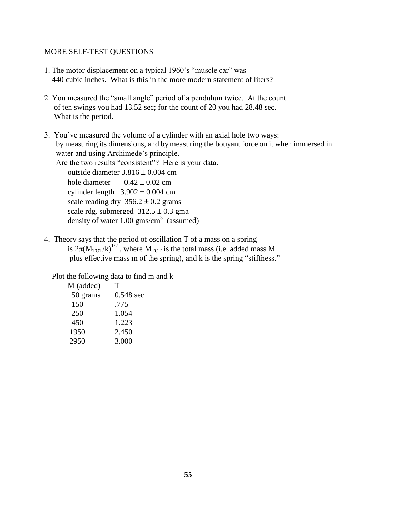#### MORE SELF-TEST QUESTIONS

- 1. The motor displacement on a typical 1960"s "muscle car" was 440 cubic inches. What is this in the more modern statement of liters?
- 2. You measured the "small angle" period of a pendulum twice. At the count of ten swings you had 13.52 sec; for the count of 20 you had 28.48 sec. What is the period.
- 3. You"ve measured the volume of a cylinder with an axial hole two ways: by measuring its dimensions, and by measuring the bouyant force on it when immersed in water and using Archimede's principle. Are the two results "consistent"? Here is your data. outside diameter  $3.816 \pm 0.004$  cm hole diameter  $0.42 \pm 0.02$  cm cylinder length  $3.902 \pm 0.004$  cm scale reading dry  $356.2 \pm 0.2$  grams scale rdg. submerged  $312.5 \pm 0.3$  gma density of water  $1.00$  gms/cm<sup>3</sup> (assumed)
- 4. Theory says that the period of oscillation T of a mass on a spring is  $2\pi(M_{\text{TOT}}/k)^{1/2}$ , where  $M_{\text{TOT}}$  is the total mass (i.e. added mass M plus effective mass m of the spring), and k is the spring "stiffness."

Plot the following data to find m and k

| M (added) | т           |
|-----------|-------------|
| 50 grams  | $0.548$ sec |
| 150       | .775        |
| 250       | 1.054       |
| 450       | 1.223       |
| 1950      | 2.450       |
| 2950      | 3.000       |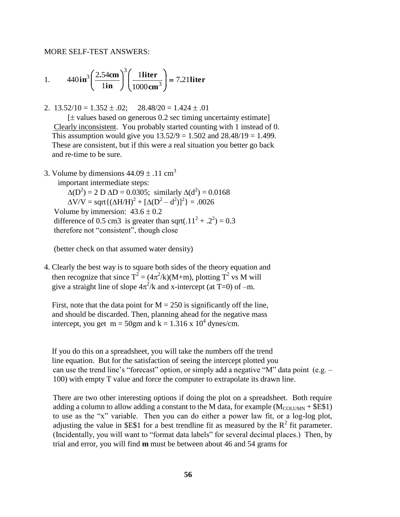MORE SELF-TEST ANSWERS:

1. 
$$
440 \text{ in}^3 \left( \frac{2.54 \text{ cm}}{1 \text{ in}} \right)^3 \left( \frac{1 \text{ liter}}{1000 \text{ cm}^3} \right) = 7.21 \text{ liter}
$$

2.  $13.52/10 = 1.352 \pm .02$ ;  $28.48/20 = 1.424 \pm .01$ 

 $[\pm$  values based on generous 0.2 sec timing uncertainty estimate] Clearly inconsistent. You probably started counting with 1 instead of 0. This assumption would give you  $13.52/9 = 1.502$  and  $28.48/19 = 1.499$ . These are consistent, but if this were a real situation you better go back and re-time to be sure.

3. Volume by dimensions  $44.09 \pm .11$  cm<sup>3</sup>

important intermediate steps:

 $\Delta(D^2) = 2 D \Delta D = 0.0305$ ; similarly  $\Delta(d^2) = 0.0168$  $\Delta V/V =$  sqrt ${(\Delta H/H)}^2 + [\Delta(D^2 - d^2)]^2$  = .0026 Volume by immersion:  $43.6 \pm 0.2$ difference of 0.5 cm3 is greater than sqrt(.11<sup>2</sup> + .2<sup>2</sup>) = 0.3 therefore not "consistent", though close

(better check on that assumed water density)

4. Clearly the best way is to square both sides of the theory equation and then recognize that since  $T^2 = (4\pi^2/k)(M+m)$ , plotting  $T^2$  vs M will give a straight line of slope  $4\pi^2/k$  and x-intercept (at T=0) of -m.

First, note that the data point for  $M = 250$  is significantly off the line, and should be discarded. Then, planning ahead for the negative mass intercept, you get  $m = 50$ gm and  $k = 1.316$  x  $10^4$  dynes/cm.

 If you do this on a spreadsheet, you will take the numbers off the trend line equation. But for the satisfaction of seeing the intercept plotted you can use the trend line's "forecast" option, or simply add a negative "M" data point (e.g.  $-$ 100) with empty T value and force the computer to extrapolate its drawn line.

There are two other interesting options if doing the plot on a spreadsheet. Both require adding a column to allow adding a constant to the M data, for example  $(M_{\text{COLUMN}} + \text{SE$1})$ to use as the "x" variable. Then you can do either a power law fit, or a log-log plot, adjusting the value in \$E\$1 for a best trendline fit as measured by the  $R^2$  fit parameter. (Incidentally, you will want to "format data labels" for several decimal places.) Then, by trial and error, you will find **m** must be between about 46 and 54 grams for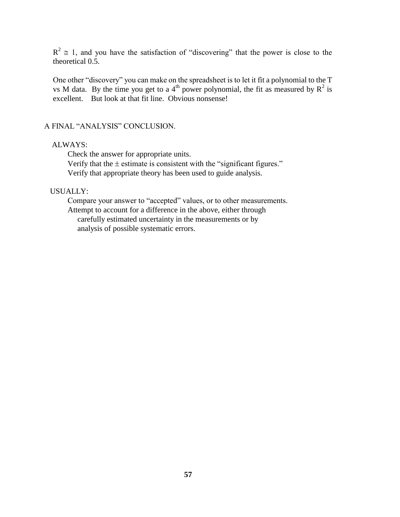$R^2 \approx 1$ , and you have the satisfaction of "discovering" that the power is close to the theoretical 0.5.

One other "discovery" you can make on the spreadsheet is to let it fit a polynomial to the T vs M data. By the time you get to a 4<sup>th</sup> power polynomial, the fit as measured by  $R^2$  is excellent. But look at that fit line. Obvious nonsense!

#### A FINAL "ANALYSIS" CONCLUSION.

#### ALWAYS:

Check the answer for appropriate units.

Verify that the  $\pm$  estimate is consistent with the "significant figures." Verify that appropriate theory has been used to guide analysis.

#### USUALLY:

Compare your answer to "accepted" values, or to other measurements. Attempt to account for a difference in the above, either through carefully estimated uncertainty in the measurements or by analysis of possible systematic errors.